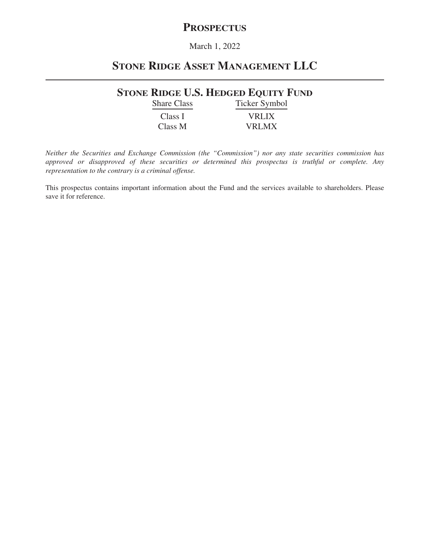# **PROSPECTUS**

# March 1, 2022

# **STONE RIDGE ASSET MANAGEMENT LLC**

# **STONE RIDGE U.S. HEDGED EQUITY FUND**

Share Class Ticker Symbol Class I VRLIX Class M VRLMX

*Neither the Securities and Exchange Commission (the "Commission") nor any state securities commission has approved or disapproved of these securities or determined this prospectus is truthful or complete. Any representation to the contrary is a criminal offense.*

This prospectus contains important information about the Fund and the services available to shareholders. Please save it for reference.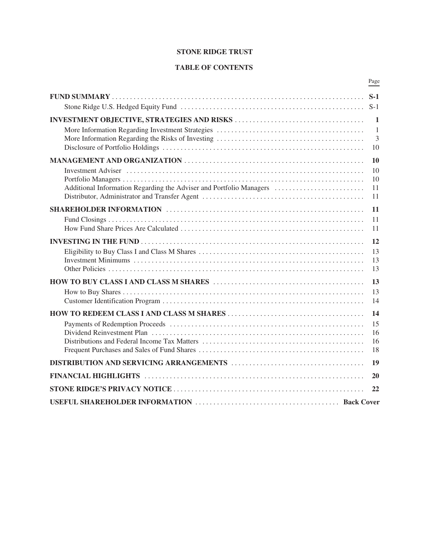# **STONE RIDGE TRUST**

# **TABLE OF CONTENTS**

|                                                                     | Page           |
|---------------------------------------------------------------------|----------------|
|                                                                     | $S-1$          |
|                                                                     | $S-1$          |
|                                                                     | $\mathbf{1}$   |
|                                                                     | $\overline{1}$ |
|                                                                     | 3<br>10        |
|                                                                     | 10             |
|                                                                     | 10             |
| Additional Information Regarding the Adviser and Portfolio Managers | 10<br>11       |
|                                                                     | 11             |
|                                                                     | 11             |
|                                                                     | 11             |
|                                                                     | 11             |
|                                                                     | 12             |
|                                                                     | 13             |
|                                                                     | 13<br>13       |
|                                                                     | 13             |
|                                                                     | 13             |
|                                                                     | 14             |
|                                                                     | 14             |
|                                                                     | 15             |
|                                                                     | 16<br>16       |
|                                                                     | 18             |
|                                                                     | 19             |
|                                                                     | 20             |
|                                                                     | 22             |
|                                                                     |                |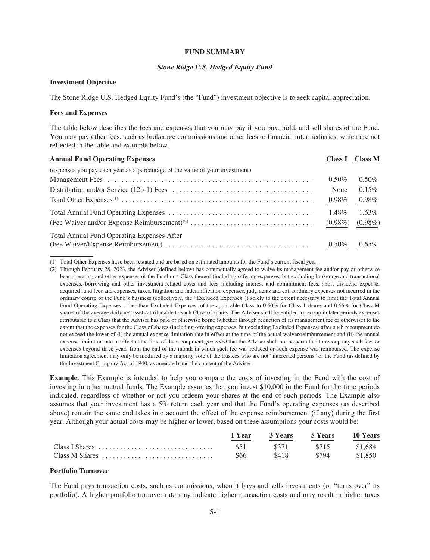#### **FUND SUMMARY**

# *Stone Ridge U.S. Hedged Equity Fund*

#### <span id="page-2-1"></span><span id="page-2-0"></span>**Investment Objective**

The Stone Ridge U.S. Hedged Equity Fund's (the "Fund") investment objective is to seek capital appreciation.

# **Fees and Expenses**

The table below describes the fees and expenses that you may pay if you buy, hold, and sell shares of the Fund. You may pay other fees, such as brokerage commissions and other fees to financial intermediaries, which are not reflected in the table and example below.

| <b>Annual Fund Operating Expenses</b>                                        |            | Class I Class M |
|------------------------------------------------------------------------------|------------|-----------------|
| (expenses you pay each year as a percentage of the value of your investment) |            |                 |
|                                                                              | $0.50\%$   | $0.50\%$        |
|                                                                              | None       | 0.15%           |
|                                                                              | $0.98\%$   | $0.98\%$        |
|                                                                              | 1.48%      | $1.63\%$        |
|                                                                              | $(0.98\%)$ | $(0.98\%)$      |
| <b>Total Annual Fund Operating Expenses After</b>                            |            |                 |
|                                                                              | $0.50\%$   | $0.65\%$        |

(1) Total Other Expenses have been restated and are based on estimated amounts for the Fund's current fiscal year.

**Example.** This Example is intended to help you compare the costs of investing in the Fund with the cost of investing in other mutual funds. The Example assumes that you invest \$10,000 in the Fund for the time periods indicated, regardless of whether or not you redeem your shares at the end of such periods. The Example also assumes that your investment has a 5% return each year and that the Fund's operating expenses (as described above) remain the same and takes into account the effect of the expense reimbursement (if any) during the first year. Although your actual costs may be higher or lower, based on these assumptions your costs would be:

|                | 1 Year | 3 Years | 5 Years | 10 Years |
|----------------|--------|---------|---------|----------|
|                | \$51   | \$371   | \$715   | \$1.684  |
| Class M Shares | \$66   | \$418   | \$794   | \$1.850  |

# **Portfolio Turnover**

The Fund pays transaction costs, such as commissions, when it buys and sells investments (or "turns over" its portfolio). A higher portfolio turnover rate may indicate higher transaction costs and may result in higher taxes

<sup>(2)</sup> Through February 28, 2023, the Adviser (defined below) has contractually agreed to waive its management fee and/or pay or otherwise bear operating and other expenses of the Fund or a Class thereof (including offering expenses, but excluding brokerage and transactional expenses, borrowing and other investment-related costs and fees including interest and commitment fees, short dividend expense, acquired fund fees and expenses, taxes, litigation and indemnification expenses, judgments and extraordinary expenses not incurred in the ordinary course of the Fund's business (collectively, the "Excluded Expenses")) solely to the extent necessary to limit the Total Annual Fund Operating Expenses, other than Excluded Expenses, of the applicable Class to 0.50% for Class I shares and 0.65% for Class M shares of the average daily net assets attributable to such Class of shares. The Adviser shall be entitled to recoup in later periods expenses attributable to a Class that the Adviser has paid or otherwise borne (whether through reduction of its management fee or otherwise) to the extent that the expenses for the Class of shares (including offering expenses, but excluding Excluded Expenses) after such recoupment do not exceed the lower of (i) the annual expense limitation rate in effect at the time of the actual waiver/reimbursement and (ii) the annual expense limitation rate in effect at the time of the recoupment; *provided* that the Adviser shall not be permitted to recoup any such fees or expenses beyond three years from the end of the month in which such fee was reduced or such expense was reimbursed. The expense limitation agreement may only be modified by a majority vote of the trustees who are not "interested persons" of the Fund (as defined by the Investment Company Act of 1940, as amended) and the consent of the Adviser.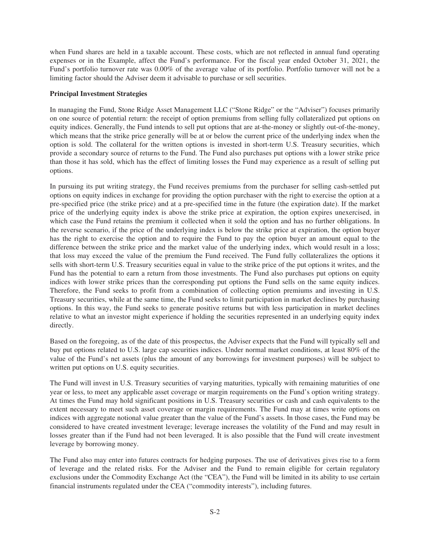when Fund shares are held in a taxable account. These costs, which are not reflected in annual fund operating expenses or in the Example, affect the Fund's performance. For the fiscal year ended October 31, 2021, the Fund's portfolio turnover rate was 0.00% of the average value of its portfolio. Portfolio turnover will not be a limiting factor should the Adviser deem it advisable to purchase or sell securities.

### **Principal Investment Strategies**

In managing the Fund, Stone Ridge Asset Management LLC ("Stone Ridge" or the "Adviser") focuses primarily on one source of potential return: the receipt of option premiums from selling fully collateralized put options on equity indices. Generally, the Fund intends to sell put options that are at-the-money or slightly out-of-the-money, which means that the strike price generally will be at or below the current price of the underlying index when the option is sold. The collateral for the written options is invested in short-term U.S. Treasury securities, which provide a secondary source of returns to the Fund. The Fund also purchases put options with a lower strike price than those it has sold, which has the effect of limiting losses the Fund may experience as a result of selling put options.

In pursuing its put writing strategy, the Fund receives premiums from the purchaser for selling cash-settled put options on equity indices in exchange for providing the option purchaser with the right to exercise the option at a pre-specified price (the strike price) and at a pre-specified time in the future (the expiration date). If the market price of the underlying equity index is above the strike price at expiration, the option expires unexercised, in which case the Fund retains the premium it collected when it sold the option and has no further obligations. In the reverse scenario, if the price of the underlying index is below the strike price at expiration, the option buyer has the right to exercise the option and to require the Fund to pay the option buyer an amount equal to the difference between the strike price and the market value of the underlying index, which would result in a loss; that loss may exceed the value of the premium the Fund received. The Fund fully collateralizes the options it sells with short-term U.S. Treasury securities equal in value to the strike price of the put options it writes, and the Fund has the potential to earn a return from those investments. The Fund also purchases put options on equity indices with lower strike prices than the corresponding put options the Fund sells on the same equity indices. Therefore, the Fund seeks to profit from a combination of collecting option premiums and investing in U.S. Treasury securities, while at the same time, the Fund seeks to limit participation in market declines by purchasing options. In this way, the Fund seeks to generate positive returns but with less participation in market declines relative to what an investor might experience if holding the securities represented in an underlying equity index directly.

Based on the foregoing, as of the date of this prospectus, the Adviser expects that the Fund will typically sell and buy put options related to U.S. large cap securities indices. Under normal market conditions, at least 80% of the value of the Fund's net assets (plus the amount of any borrowings for investment purposes) will be subject to written put options on U.S. equity securities.

The Fund will invest in U.S. Treasury securities of varying maturities, typically with remaining maturities of one year or less, to meet any applicable asset coverage or margin requirements on the Fund's option writing strategy. At times the Fund may hold significant positions in U.S. Treasury securities or cash and cash equivalents to the extent necessary to meet such asset coverage or margin requirements. The Fund may at times write options on indices with aggregate notional value greater than the value of the Fund's assets. In those cases, the Fund may be considered to have created investment leverage; leverage increases the volatility of the Fund and may result in losses greater than if the Fund had not been leveraged. It is also possible that the Fund will create investment leverage by borrowing money.

The Fund also may enter into futures contracts for hedging purposes. The use of derivatives gives rise to a form of leverage and the related risks. For the Adviser and the Fund to remain eligible for certain regulatory exclusions under the Commodity Exchange Act (the "CEA"), the Fund will be limited in its ability to use certain financial instruments regulated under the CEA ("commodity interests"), including futures.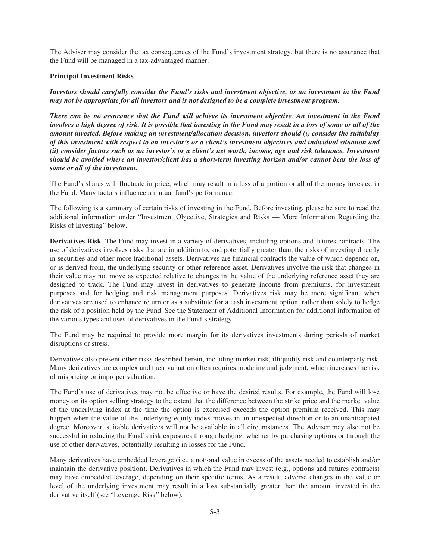The Adviser may consider the tax consequences of the Fund's investment strategy, but there is no assurance that the Fund will be managed in a tax-advantaged manner.

# **Principal Investment Risks**

*Investors should carefully consider the Fund's risks and investment objective, as an investment in the Fund may not be appropriate for all investors and is not designed to be a complete investment program.*

*There can be no assurance that the Fund will achieve its investment objective. An investment in the Fund involves a high degree of risk. It is possible that investing in the Fund may result in a loss of some or all of the amount invested. Before making an investment/allocation decision, investors should (i) consider the suitability of this investment with respect to an investor's or a client's investment objectives and individual situation and (ii) consider factors such as an investor's or a client's net worth, income, age and risk tolerance. Investment should be avoided where an investor/client has a short-term investing horizon and/or cannot bear the loss of some or all of the investment.*

The Fund's shares will fluctuate in price, which may result in a loss of a portion or all of the money invested in the Fund. Many factors influence a mutual fund's performance.

The following is a summary of certain risks of investing in the Fund. Before investing, please be sure to read the additional information under "Investment Objective, Strategies and Risks — More Information Regarding the Risks of Investing" below.

**Derivatives Risk**. The Fund may invest in a variety of derivatives, including options and futures contracts. The use of derivatives involves risks that are in addition to, and potentially greater than, the risks of investing directly in securities and other more traditional assets. Derivatives are financial contracts the value of which depends on, or is derived from, the underlying security or other reference asset. Derivatives involve the risk that changes in their value may not move as expected relative to changes in the value of the underlying reference asset they are designed to track. The Fund may invest in derivatives to generate income from premiums, for investment purposes and for hedging and risk management purposes. Derivatives risk may be more significant when derivatives are used to enhance return or as a substitute for a cash investment option, rather than solely to hedge the risk of a position held by the Fund. See the Statement of Additional Information for additional information of the various types and uses of derivatives in the Fund's strategy.

The Fund may be required to provide more margin for its derivatives investments during periods of market disruptions or stress.

Derivatives also present other risks described herein, including market risk, illiquidity risk and counterparty risk. Many derivatives are complex and their valuation often requires modeling and judgment, which increases the risk of mispricing or improper valuation.

The Fund's use of derivatives may not be effective or have the desired results. For example, the Fund will lose money on its option selling strategy to the extent that the difference between the strike price and the market value of the underlying index at the time the option is exercised exceeds the option premium received. This may happen when the value of the underlying equity index moves in an unexpected direction or to an unanticipated degree. Moreover, suitable derivatives will not be available in all circumstances. The Adviser may also not be successful in reducing the Fund's risk exposures through hedging, whether by purchasing options or through the use of other derivatives, potentially resulting in losses for the Fund.

Many derivatives have embedded leverage (i.e., a notional value in excess of the assets needed to establish and/or maintain the derivative position). Derivatives in which the Fund may invest (e.g., options and futures contracts) may have embedded leverage, depending on their specific terms. As a result, adverse changes in the value or level of the underlying investment may result in a loss substantially greater than the amount invested in the derivative itself (see "Leverage Risk" below).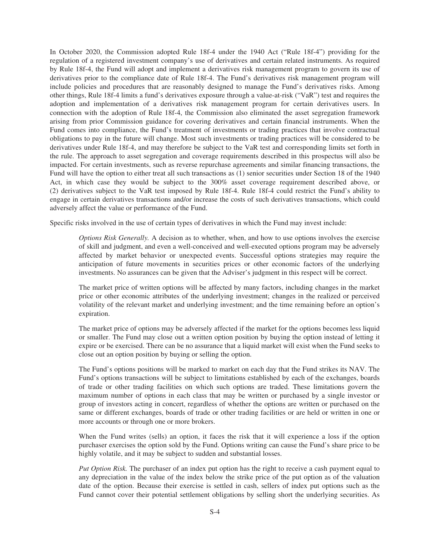In October 2020, the Commission adopted Rule 18f-4 under the 1940 Act ("Rule 18f-4") providing for the regulation of a registered investment company's use of derivatives and certain related instruments. As required by Rule 18f-4, the Fund will adopt and implement a derivatives risk management program to govern its use of derivatives prior to the compliance date of Rule 18f-4. The Fund's derivatives risk management program will include policies and procedures that are reasonably designed to manage the Fund's derivatives risks. Among other things, Rule 18f-4 limits a fund's derivatives exposure through a value-at-risk ("VaR") test and requires the adoption and implementation of a derivatives risk management program for certain derivatives users. In connection with the adoption of Rule 18f-4, the Commission also eliminated the asset segregation framework arising from prior Commission guidance for covering derivatives and certain financial instruments. When the Fund comes into compliance, the Fund's treatment of investments or trading practices that involve contractual obligations to pay in the future will change. Most such investments or trading practices will be considered to be derivatives under Rule 18f-4, and may therefore be subject to the VaR test and corresponding limits set forth in the rule. The approach to asset segregation and coverage requirements described in this prospectus will also be impacted. For certain investments, such as reverse repurchase agreements and similar financing transactions, the Fund will have the option to either treat all such transactions as (1) senior securities under Section 18 of the 1940 Act, in which case they would be subject to the 300% asset coverage requirement described above, or (2) derivatives subject to the VaR test imposed by Rule 18f-4. Rule 18f-4 could restrict the Fund's ability to engage in certain derivatives transactions and/or increase the costs of such derivatives transactions, which could adversely affect the value or performance of the Fund.

Specific risks involved in the use of certain types of derivatives in which the Fund may invest include:

*Options Risk Generally.* A decision as to whether, when, and how to use options involves the exercise of skill and judgment, and even a well-conceived and well-executed options program may be adversely affected by market behavior or unexpected events. Successful options strategies may require the anticipation of future movements in securities prices or other economic factors of the underlying investments. No assurances can be given that the Adviser's judgment in this respect will be correct.

The market price of written options will be affected by many factors, including changes in the market price or other economic attributes of the underlying investment; changes in the realized or perceived volatility of the relevant market and underlying investment; and the time remaining before an option's expiration.

The market price of options may be adversely affected if the market for the options becomes less liquid or smaller. The Fund may close out a written option position by buying the option instead of letting it expire or be exercised. There can be no assurance that a liquid market will exist when the Fund seeks to close out an option position by buying or selling the option.

The Fund's options positions will be marked to market on each day that the Fund strikes its NAV. The Fund's options transactions will be subject to limitations established by each of the exchanges, boards of trade or other trading facilities on which such options are traded. These limitations govern the maximum number of options in each class that may be written or purchased by a single investor or group of investors acting in concert, regardless of whether the options are written or purchased on the same or different exchanges, boards of trade or other trading facilities or are held or written in one or more accounts or through one or more brokers.

When the Fund writes (sells) an option, it faces the risk that it will experience a loss if the option purchaser exercises the option sold by the Fund. Options writing can cause the Fund's share price to be highly volatile, and it may be subject to sudden and substantial losses.

*Put Option Risk.* The purchaser of an index put option has the right to receive a cash payment equal to any depreciation in the value of the index below the strike price of the put option as of the valuation date of the option. Because their exercise is settled in cash, sellers of index put options such as the Fund cannot cover their potential settlement obligations by selling short the underlying securities. As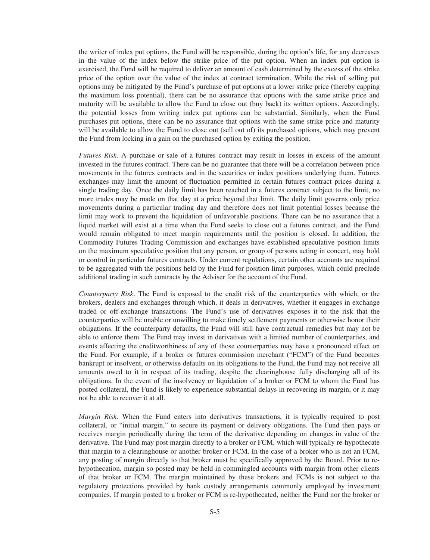the writer of index put options, the Fund will be responsible, during the option's life, for any decreases in the value of the index below the strike price of the put option. When an index put option is exercised, the Fund will be required to deliver an amount of cash determined by the excess of the strike price of the option over the value of the index at contract termination. While the risk of selling put options may be mitigated by the Fund's purchase of put options at a lower strike price (thereby capping the maximum loss potential), there can be no assurance that options with the same strike price and maturity will be available to allow the Fund to close out (buy back) its written options. Accordingly, the potential losses from writing index put options can be substantial. Similarly, when the Fund purchases put options, there can be no assurance that options with the same strike price and maturity will be available to allow the Fund to close out (sell out of) its purchased options, which may prevent the Fund from locking in a gain on the purchased option by exiting the position.

*Futures Risk.* A purchase or sale of a futures contract may result in losses in excess of the amount invested in the futures contract. There can be no guarantee that there will be a correlation between price movements in the futures contracts and in the securities or index positions underlying them. Futures exchanges may limit the amount of fluctuation permitted in certain futures contract prices during a single trading day. Once the daily limit has been reached in a futures contract subject to the limit, no more trades may be made on that day at a price beyond that limit. The daily limit governs only price movements during a particular trading day and therefore does not limit potential losses because the limit may work to prevent the liquidation of unfavorable positions. There can be no assurance that a liquid market will exist at a time when the Fund seeks to close out a futures contract, and the Fund would remain obligated to meet margin requirements until the position is closed. In addition, the Commodity Futures Trading Commission and exchanges have established speculative position limits on the maximum speculative position that any person, or group of persons acting in concert, may hold or control in particular futures contracts. Under current regulations, certain other accounts are required to be aggregated with the positions held by the Fund for position limit purposes, which could preclude additional trading in such contracts by the Adviser for the account of the Fund.

*Counterparty Risk*. The Fund is exposed to the credit risk of the counterparties with which, or the brokers, dealers and exchanges through which, it deals in derivatives, whether it engages in exchange traded or off-exchange transactions. The Fund's use of derivatives exposes it to the risk that the counterparties will be unable or unwilling to make timely settlement payments or otherwise honor their obligations. If the counterparty defaults, the Fund will still have contractual remedies but may not be able to enforce them. The Fund may invest in derivatives with a limited number of counterparties, and events affecting the creditworthiness of any of those counterparties may have a pronounced effect on the Fund. For example, if a broker or futures commission merchant ("FCM") of the Fund becomes bankrupt or insolvent, or otherwise defaults on its obligations to the Fund, the Fund may not receive all amounts owed to it in respect of its trading, despite the clearinghouse fully discharging all of its obligations. In the event of the insolvency or liquidation of a broker or FCM to whom the Fund has posted collateral, the Fund is likely to experience substantial delays in recovering its margin, or it may not be able to recover it at all.

*Margin Risk.* When the Fund enters into derivatives transactions, it is typically required to post collateral, or "initial margin," to secure its payment or delivery obligations. The Fund then pays or receives margin periodically during the term of the derivative depending on changes in value of the derivative. The Fund may post margin directly to a broker or FCM, which will typically re-hypothecate that margin to a clearinghouse or another broker or FCM. In the case of a broker who is not an FCM, any posting of margin directly to that broker must be specifically approved by the Board. Prior to rehypothecation, margin so posted may be held in commingled accounts with margin from other clients of that broker or FCM. The margin maintained by these brokers and FCMs is not subject to the regulatory protections provided by bank custody arrangements commonly employed by investment companies. If margin posted to a broker or FCM is re-hypothecated, neither the Fund nor the broker or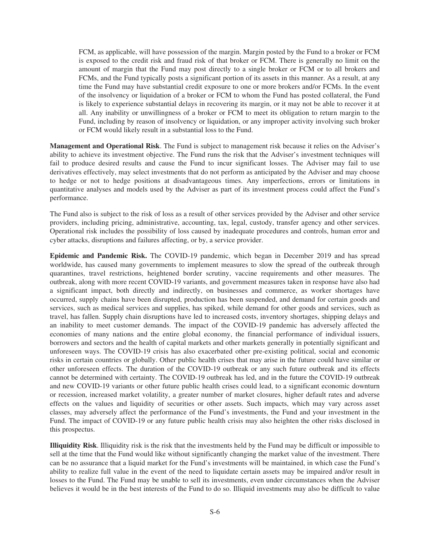FCM, as applicable, will have possession of the margin. Margin posted by the Fund to a broker or FCM is exposed to the credit risk and fraud risk of that broker or FCM. There is generally no limit on the amount of margin that the Fund may post directly to a single broker or FCM or to all brokers and FCMs, and the Fund typically posts a significant portion of its assets in this manner. As a result, at any time the Fund may have substantial credit exposure to one or more brokers and/or FCMs. In the event of the insolvency or liquidation of a broker or FCM to whom the Fund has posted collateral, the Fund is likely to experience substantial delays in recovering its margin, or it may not be able to recover it at all. Any inability or unwillingness of a broker or FCM to meet its obligation to return margin to the Fund, including by reason of insolvency or liquidation, or any improper activity involving such broker or FCM would likely result in a substantial loss to the Fund.

**Management and Operational Risk**. The Fund is subject to management risk because it relies on the Adviser's ability to achieve its investment objective. The Fund runs the risk that the Adviser's investment techniques will fail to produce desired results and cause the Fund to incur significant losses. The Adviser may fail to use derivatives effectively, may select investments that do not perform as anticipated by the Adviser and may choose to hedge or not to hedge positions at disadvantageous times. Any imperfections, errors or limitations in quantitative analyses and models used by the Adviser as part of its investment process could affect the Fund's performance.

The Fund also is subject to the risk of loss as a result of other services provided by the Adviser and other service providers, including pricing, administrative, accounting, tax, legal, custody, transfer agency and other services. Operational risk includes the possibility of loss caused by inadequate procedures and controls, human error and cyber attacks, disruptions and failures affecting, or by, a service provider.

**Epidemic and Pandemic Risk.** The COVID-19 pandemic, which began in December 2019 and has spread worldwide, has caused many governments to implement measures to slow the spread of the outbreak through quarantines, travel restrictions, heightened border scrutiny, vaccine requirements and other measures. The outbreak, along with more recent COVID-19 variants, and government measures taken in response have also had a significant impact, both directly and indirectly, on businesses and commerce, as worker shortages have occurred, supply chains have been disrupted, production has been suspended, and demand for certain goods and services, such as medical services and supplies, has spiked, while demand for other goods and services, such as travel, has fallen. Supply chain disruptions have led to increased costs, inventory shortages, shipping delays and an inability to meet customer demands. The impact of the COVID-19 pandemic has adversely affected the economies of many nations and the entire global economy, the financial performance of individual issuers, borrowers and sectors and the health of capital markets and other markets generally in potentially significant and unforeseen ways. The COVID-19 crisis has also exacerbated other pre-existing political, social and economic risks in certain countries or globally. Other public health crises that may arise in the future could have similar or other unforeseen effects. The duration of the COVID-19 outbreak or any such future outbreak and its effects cannot be determined with certainty. The COVID-19 outbreak has led, and in the future the COVID-19 outbreak and new COVID-19 variants or other future public health crises could lead, to a significant economic downturn or recession, increased market volatility, a greater number of market closures, higher default rates and adverse effects on the values and liquidity of securities or other assets. Such impacts, which may vary across asset classes, may adversely affect the performance of the Fund's investments, the Fund and your investment in the Fund. The impact of COVID-19 or any future public health crisis may also heighten the other risks disclosed in this prospectus.

**Illiquidity Risk**. Illiquidity risk is the risk that the investments held by the Fund may be difficult or impossible to sell at the time that the Fund would like without significantly changing the market value of the investment. There can be no assurance that a liquid market for the Fund's investments will be maintained, in which case the Fund's ability to realize full value in the event of the need to liquidate certain assets may be impaired and/or result in losses to the Fund. The Fund may be unable to sell its investments, even under circumstances when the Adviser believes it would be in the best interests of the Fund to do so. Illiquid investments may also be difficult to value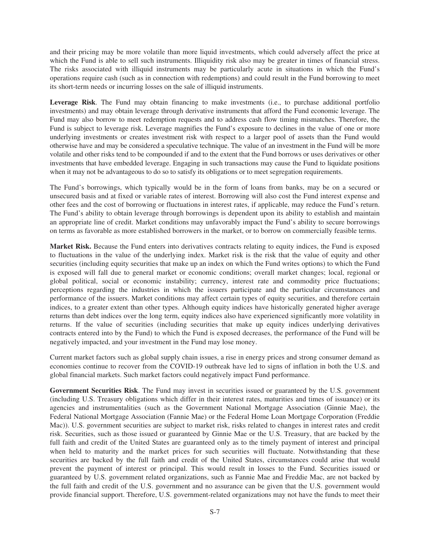and their pricing may be more volatile than more liquid investments, which could adversely affect the price at which the Fund is able to sell such instruments. Illiquidity risk also may be greater in times of financial stress. The risks associated with illiquid instruments may be particularly acute in situations in which the Fund's operations require cash (such as in connection with redemptions) and could result in the Fund borrowing to meet its short-term needs or incurring losses on the sale of illiquid instruments.

**Leverage Risk**. The Fund may obtain financing to make investments (i.e., to purchase additional portfolio investments) and may obtain leverage through derivative instruments that afford the Fund economic leverage. The Fund may also borrow to meet redemption requests and to address cash flow timing mismatches. Therefore, the Fund is subject to leverage risk. Leverage magnifies the Fund's exposure to declines in the value of one or more underlying investments or creates investment risk with respect to a larger pool of assets than the Fund would otherwise have and may be considered a speculative technique. The value of an investment in the Fund will be more volatile and other risks tend to be compounded if and to the extent that the Fund borrows or uses derivatives or other investments that have embedded leverage. Engaging in such transactions may cause the Fund to liquidate positions when it may not be advantageous to do so to satisfy its obligations or to meet segregation requirements.

The Fund's borrowings, which typically would be in the form of loans from banks, may be on a secured or unsecured basis and at fixed or variable rates of interest. Borrowing will also cost the Fund interest expense and other fees and the cost of borrowing or fluctuations in interest rates, if applicable, may reduce the Fund's return. The Fund's ability to obtain leverage through borrowings is dependent upon its ability to establish and maintain an appropriate line of credit. Market conditions may unfavorably impact the Fund's ability to secure borrowings on terms as favorable as more established borrowers in the market, or to borrow on commercially feasible terms.

**Market Risk.** Because the Fund enters into derivatives contracts relating to equity indices, the Fund is exposed to fluctuations in the value of the underlying index. Market risk is the risk that the value of equity and other securities (including equity securities that make up an index on which the Fund writes options) to which the Fund is exposed will fall due to general market or economic conditions; overall market changes; local, regional or global political, social or economic instability; currency, interest rate and commodity price fluctuations; perceptions regarding the industries in which the issuers participate and the particular circumstances and performance of the issuers. Market conditions may affect certain types of equity securities, and therefore certain indices, to a greater extent than other types. Although equity indices have historically generated higher average returns than debt indices over the long term, equity indices also have experienced significantly more volatility in returns. If the value of securities (including securities that make up equity indices underlying derivatives contracts entered into by the Fund) to which the Fund is exposed decreases, the performance of the Fund will be negatively impacted, and your investment in the Fund may lose money.

Current market factors such as global supply chain issues, a rise in energy prices and strong consumer demand as economies continue to recover from the COVID-19 outbreak have led to signs of inflation in both the U.S. and global financial markets. Such market factors could negatively impact Fund performance.

**Government Securities Risk**. The Fund may invest in securities issued or guaranteed by the U.S. government (including U.S. Treasury obligations which differ in their interest rates, maturities and times of issuance) or its agencies and instrumentalities (such as the Government National Mortgage Association (Ginnie Mae), the Federal National Mortgage Association (Fannie Mae) or the Federal Home Loan Mortgage Corporation (Freddie Mac)). U.S. government securities are subject to market risk, risks related to changes in interest rates and credit risk. Securities, such as those issued or guaranteed by Ginnie Mae or the U.S. Treasury, that are backed by the full faith and credit of the United States are guaranteed only as to the timely payment of interest and principal when held to maturity and the market prices for such securities will fluctuate. Notwithstanding that these securities are backed by the full faith and credit of the United States, circumstances could arise that would prevent the payment of interest or principal. This would result in losses to the Fund. Securities issued or guaranteed by U.S. government related organizations, such as Fannie Mae and Freddie Mac, are not backed by the full faith and credit of the U.S. government and no assurance can be given that the U.S. government would provide financial support. Therefore, U.S. government-related organizations may not have the funds to meet their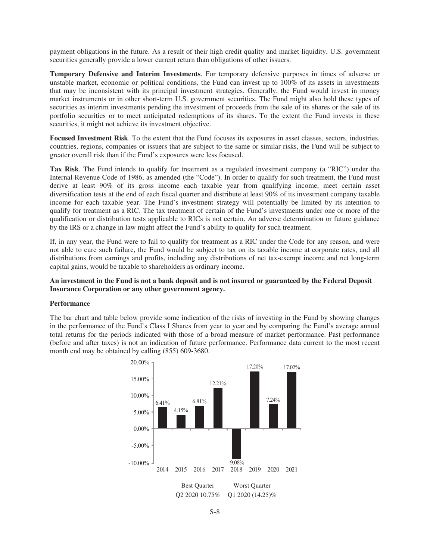payment obligations in the future. As a result of their high credit quality and market liquidity, U.S. government securities generally provide a lower current return than obligations of other issuers.

**Temporary Defensive and Interim Investments**. For temporary defensive purposes in times of adverse or unstable market, economic or political conditions, the Fund can invest up to 100% of its assets in investments that may be inconsistent with its principal investment strategies. Generally, the Fund would invest in money market instruments or in other short-term U.S. government securities. The Fund might also hold these types of securities as interim investments pending the investment of proceeds from the sale of its shares or the sale of its portfolio securities or to meet anticipated redemptions of its shares. To the extent the Fund invests in these securities, it might not achieve its investment objective.

**Focused Investment Risk**. To the extent that the Fund focuses its exposures in asset classes, sectors, industries, countries, regions, companies or issuers that are subject to the same or similar risks, the Fund will be subject to greater overall risk than if the Fund's exposures were less focused.

**Tax Risk**. The Fund intends to qualify for treatment as a regulated investment company (a "RIC") under the Internal Revenue Code of 1986, as amended (the "Code"). In order to qualify for such treatment, the Fund must derive at least 90% of its gross income each taxable year from qualifying income, meet certain asset diversification tests at the end of each fiscal quarter and distribute at least 90% of its investment company taxable income for each taxable year. The Fund's investment strategy will potentially be limited by its intention to qualify for treatment as a RIC. The tax treatment of certain of the Fund's investments under one or more of the qualification or distribution tests applicable to RICs is not certain. An adverse determination or future guidance by the IRS or a change in law might affect the Fund's ability to qualify for such treatment.

If, in any year, the Fund were to fail to qualify for treatment as a RIC under the Code for any reason, and were not able to cure such failure, the Fund would be subject to tax on its taxable income at corporate rates, and all distributions from earnings and profits, including any distributions of net tax-exempt income and net long-term capital gains, would be taxable to shareholders as ordinary income.

# **An investment in the Fund is not a bank deposit and is not insured or guaranteed by the Federal Deposit Insurance Corporation or any other government agency.**

#### **Performance**

The bar chart and table below provide some indication of the risks of investing in the Fund by showing changes in the performance of the Fund's Class I Shares from year to year and by comparing the Fund's average annual total returns for the periods indicated with those of a broad measure of market performance. Past performance (before and after taxes) is not an indication of future performance. Performance data current to the most recent month end may be obtained by calling (855) 609-3680.

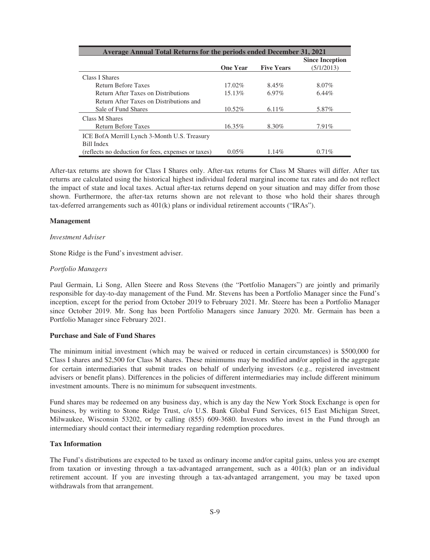| Average Annual Total Returns for the periods ended December 31, 2021 |                 |                   |                        |  |
|----------------------------------------------------------------------|-----------------|-------------------|------------------------|--|
|                                                                      |                 |                   | <b>Since Inception</b> |  |
|                                                                      | <b>One Year</b> | <b>Five Years</b> | (5/1/2013)             |  |
| Class I Shares                                                       |                 |                   |                        |  |
| <b>Return Before Taxes</b>                                           | $17.02\%$       | 8.45%             | 8.07%                  |  |
| Return After Taxes on Distributions                                  | 15.13%          | $6.97\%$          | $6.44\%$               |  |
| Return After Taxes on Distributions and                              |                 |                   |                        |  |
| Sale of Fund Shares                                                  | $10.52\%$       | 6.11\%            | 5.87%                  |  |
| Class M Shares                                                       |                 |                   |                        |  |
| <b>Return Before Taxes</b>                                           | 16.35%          | 8.30%             | 7.91%                  |  |
| ICE BofA Merrill Lynch 3-Month U.S. Treasury                         |                 |                   |                        |  |
| <b>Bill Index</b>                                                    |                 |                   |                        |  |
| (reflects no deduction for fees, expenses or taxes)                  | $0.05\%$        | $1.14\%$          | $0.71\%$               |  |

After-tax returns are shown for Class I Shares only. After-tax returns for Class M Shares will differ. After tax returns are calculated using the historical highest individual federal marginal income tax rates and do not reflect the impact of state and local taxes. Actual after-tax returns depend on your situation and may differ from those shown. Furthermore, the after-tax returns shown are not relevant to those who hold their shares through tax-deferred arrangements such as  $401(k)$  plans or individual retirement accounts ("IRAs").

#### **Management**

#### *Investment Adviser*

Stone Ridge is the Fund's investment adviser.

#### *Portfolio Managers*

Paul Germain, Li Song, Allen Steere and Ross Stevens (the "Portfolio Managers") are jointly and primarily responsible for day-to-day management of the Fund. Mr. Stevens has been a Portfolio Manager since the Fund's inception, except for the period from October 2019 to February 2021. Mr. Steere has been a Portfolio Manager since October 2019. Mr. Song has been Portfolio Managers since January 2020. Mr. Germain has been a Portfolio Manager since February 2021.

#### **Purchase and Sale of Fund Shares**

The minimum initial investment (which may be waived or reduced in certain circumstances) is \$500,000 for Class I shares and \$2,500 for Class M shares. These minimums may be modified and/or applied in the aggregate for certain intermediaries that submit trades on behalf of underlying investors (e.g., registered investment advisers or benefit plans). Differences in the policies of different intermediaries may include different minimum investment amounts. There is no minimum for subsequent investments.

Fund shares may be redeemed on any business day, which is any day the New York Stock Exchange is open for business, by writing to Stone Ridge Trust, c/o U.S. Bank Global Fund Services, 615 East Michigan Street, Milwaukee, Wisconsin 53202, or by calling (855) 609-3680. Investors who invest in the Fund through an intermediary should contact their intermediary regarding redemption procedures.

#### **Tax Information**

The Fund's distributions are expected to be taxed as ordinary income and/or capital gains, unless you are exempt from taxation or investing through a tax-advantaged arrangement, such as a 401(k) plan or an individual retirement account. If you are investing through a tax-advantaged arrangement, you may be taxed upon withdrawals from that arrangement.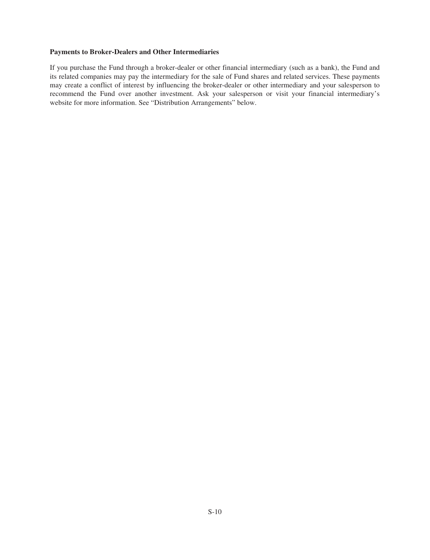#### **Payments to Broker-Dealers and Other Intermediaries**

If you purchase the Fund through a broker-dealer or other financial intermediary (such as a bank), the Fund and its related companies may pay the intermediary for the sale of Fund shares and related services. These payments may create a conflict of interest by influencing the broker-dealer or other intermediary and your salesperson to recommend the Fund over another investment. Ask your salesperson or visit your financial intermediary's website for more information. See "Distribution Arrangements" below.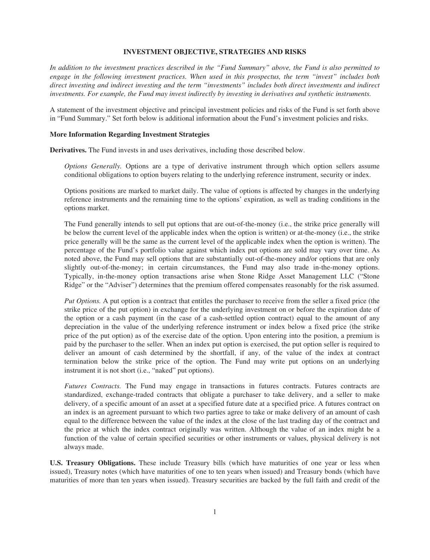#### **INVESTMENT OBJECTIVE, STRATEGIES AND RISKS**

<span id="page-12-0"></span>*In addition to the investment practices described in the "Fund Summary" above, the Fund is also permitted to engage in the following investment practices. When used in this prospectus, the term "invest" includes both direct investing and indirect investing and the term "investments" includes both direct investments and indirect investments. For example, the Fund may invest indirectly by investing in derivatives and synthetic instruments.*

<span id="page-12-1"></span>A statement of the investment objective and principal investment policies and risks of the Fund is set forth above in "Fund Summary." Set forth below is additional information about the Fund's investment policies and risks.

#### **More Information Regarding Investment Strategies**

**Derivatives.** The Fund invests in and uses derivatives, including those described below.

*Options Generally.* Options are a type of derivative instrument through which option sellers assume conditional obligations to option buyers relating to the underlying reference instrument, security or index.

Options positions are marked to market daily. The value of options is affected by changes in the underlying reference instruments and the remaining time to the options' expiration, as well as trading conditions in the options market.

The Fund generally intends to sell put options that are out-of-the-money (i.e., the strike price generally will be below the current level of the applicable index when the option is written) or at-the-money (i.e., the strike price generally will be the same as the current level of the applicable index when the option is written). The percentage of the Fund's portfolio value against which index put options are sold may vary over time. As noted above, the Fund may sell options that are substantially out-of-the-money and/or options that are only slightly out-of-the-money; in certain circumstances, the Fund may also trade in-the-money options. Typically, in-the-money option transactions arise when Stone Ridge Asset Management LLC ("Stone Ridge" or the "Adviser") determines that the premium offered compensates reasonably for the risk assumed.

*Put Options.* A put option is a contract that entitles the purchaser to receive from the seller a fixed price (the strike price of the put option) in exchange for the underlying investment on or before the expiration date of the option or a cash payment (in the case of a cash-settled option contract) equal to the amount of any depreciation in the value of the underlying reference instrument or index below a fixed price (the strike price of the put option) as of the exercise date of the option. Upon entering into the position, a premium is paid by the purchaser to the seller. When an index put option is exercised, the put option seller is required to deliver an amount of cash determined by the shortfall, if any, of the value of the index at contract termination below the strike price of the option. The Fund may write put options on an underlying instrument it is not short (i.e., "naked" put options).

*Futures Contracts.* The Fund may engage in transactions in futures contracts. Futures contracts are standardized, exchange-traded contracts that obligate a purchaser to take delivery, and a seller to make delivery, of a specific amount of an asset at a specified future date at a specified price. A futures contract on an index is an agreement pursuant to which two parties agree to take or make delivery of an amount of cash equal to the difference between the value of the index at the close of the last trading day of the contract and the price at which the index contract originally was written. Although the value of an index might be a function of the value of certain specified securities or other instruments or values, physical delivery is not always made.

**U.S. Treasury Obligations.** These include Treasury bills (which have maturities of one year or less when issued), Treasury notes (which have maturities of one to ten years when issued) and Treasury bonds (which have maturities of more than ten years when issued). Treasury securities are backed by the full faith and credit of the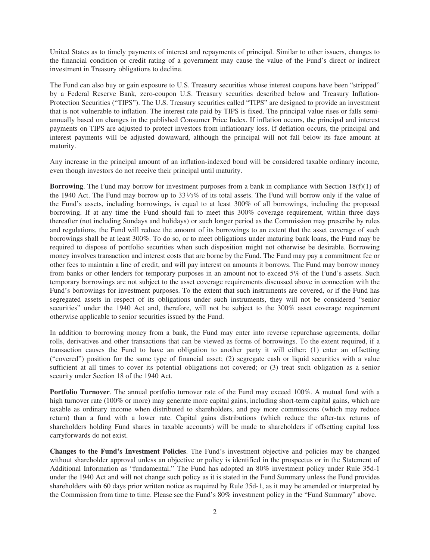United States as to timely payments of interest and repayments of principal. Similar to other issuers, changes to the financial condition or credit rating of a government may cause the value of the Fund's direct or indirect investment in Treasury obligations to decline.

The Fund can also buy or gain exposure to U.S. Treasury securities whose interest coupons have been "stripped" by a Federal Reserve Bank, zero-coupon U.S. Treasury securities described below and Treasury Inflation-Protection Securities ("TIPS"). The U.S. Treasury securities called "TIPS" are designed to provide an investment that is not vulnerable to inflation. The interest rate paid by TIPS is fixed. The principal value rises or falls semiannually based on changes in the published Consumer Price Index. If inflation occurs, the principal and interest payments on TIPS are adjusted to protect investors from inflationary loss. If deflation occurs, the principal and interest payments will be adjusted downward, although the principal will not fall below its face amount at maturity.

Any increase in the principal amount of an inflation-indexed bond will be considered taxable ordinary income, even though investors do not receive their principal until maturity.

**Borrowing**. The Fund may borrow for investment purposes from a bank in compliance with Section 18(f)(1) of the 1940 Act. The Fund may borrow up to 33 $\frac{1}{3}\%$  of its total assets. The Fund will borrow only if the value of the Fund's assets, including borrowings, is equal to at least 300% of all borrowings, including the proposed borrowing. If at any time the Fund should fail to meet this 300% coverage requirement, within three days thereafter (not including Sundays and holidays) or such longer period as the Commission may prescribe by rules and regulations, the Fund will reduce the amount of its borrowings to an extent that the asset coverage of such borrowings shall be at least 300%. To do so, or to meet obligations under maturing bank loans, the Fund may be required to dispose of portfolio securities when such disposition might not otherwise be desirable. Borrowing money involves transaction and interest costs that are borne by the Fund. The Fund may pay a commitment fee or other fees to maintain a line of credit, and will pay interest on amounts it borrows. The Fund may borrow money from banks or other lenders for temporary purposes in an amount not to exceed 5% of the Fund's assets. Such temporary borrowings are not subject to the asset coverage requirements discussed above in connection with the Fund's borrowings for investment purposes. To the extent that such instruments are covered, or if the Fund has segregated assets in respect of its obligations under such instruments, they will not be considered "senior securities" under the 1940 Act and, therefore, will not be subject to the 300% asset coverage requirement otherwise applicable to senior securities issued by the Fund.

In addition to borrowing money from a bank, the Fund may enter into reverse repurchase agreements, dollar rolls, derivatives and other transactions that can be viewed as forms of borrowings. To the extent required, if a transaction causes the Fund to have an obligation to another party it will either: (1) enter an offsetting ("covered") position for the same type of financial asset; (2) segregate cash or liquid securities with a value sufficient at all times to cover its potential obligations not covered; or (3) treat such obligation as a senior security under Section 18 of the 1940 Act.

**Portfolio Turnover**. The annual portfolio turnover rate of the Fund may exceed 100%. A mutual fund with a high turnover rate (100% or more) may generate more capital gains, including short-term capital gains, which are taxable as ordinary income when distributed to shareholders, and pay more commissions (which may reduce return) than a fund with a lower rate. Capital gains distributions (which reduce the after-tax returns of shareholders holding Fund shares in taxable accounts) will be made to shareholders if offsetting capital loss carryforwards do not exist.

**Changes to the Fund's Investment Policies**. The Fund's investment objective and policies may be changed without shareholder approval unless an objective or policy is identified in the prospectus or in the Statement of Additional Information as "fundamental." The Fund has adopted an 80% investment policy under Rule 35d-1 under the 1940 Act and will not change such policy as it is stated in the Fund Summary unless the Fund provides shareholders with 60 days prior written notice as required by Rule 35d-1, as it may be amended or interpreted by the Commission from time to time. Please see the Fund's 80% investment policy in the "Fund Summary" above.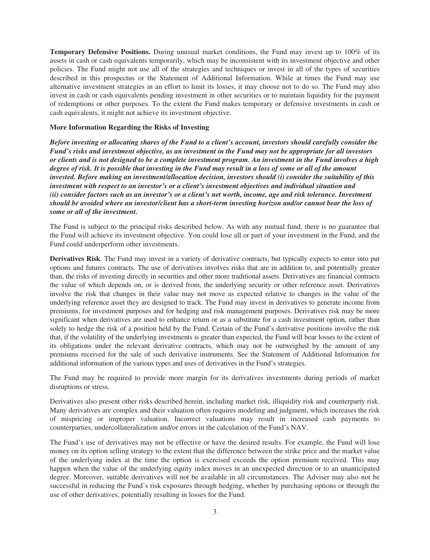**Temporary Defensive Positions.** During unusual market conditions, the Fund may invest up to 100% of its assets in cash or cash equivalents temporarily, which may be inconsistent with its investment objective and other policies. The Fund might not use all of the strategies and techniques or invest in all of the types of securities described in this prospectus or the Statement of Additional Information. While at times the Fund may use alternative investment strategies in an effort to limit its losses, it may choose not to do so. The Fund may also invest in cash or cash equivalents pending investment in other securities or to maintain liquidity for the payment of redemptions or other purposes. To the extent the Fund makes temporary or defensive investments in cash or cash equivalents, it might not achieve its investment objective.

# <span id="page-14-0"></span>**More Information Regarding the Risks of Investing**

*Before investing or allocating shares of the Fund to a client's account, investors should carefully consider the Fund's risks and investment objective, as an investment in the Fund may not be appropriate for all investors or clients and is not designed to be a complete investment program. An investment in the Fund involves a high degree of risk. It is possible that investing in the Fund may result in a loss of some or all of the amount invested. Before making an investment/allocation decision, investors should (i) consider the suitability of this investment with respect to an investor's or a client's investment objectives and individual situation and (ii) consider factors such as an investor's or a client's net worth, income, age and risk tolerance. Investment should be avoided where an investor/client has a short-term investing horizon and/or cannot bear the loss of some or all of the investment.*

The Fund is subject to the principal risks described below. As with any mutual fund, there is no guarantee that the Fund will achieve its investment objective. You could lose all or part of your investment in the Fund, and the Fund could underperform other investments.

**Derivatives Risk**. The Fund may invest in a variety of derivative contracts, but typically expects to enter into put options and futures contracts. The use of derivatives involves risks that are in addition to, and potentially greater than, the risks of investing directly in securities and other more traditional assets. Derivatives are financial contracts the value of which depends on, or is derived from, the underlying security or other reference asset. Derivatives involve the risk that changes in their value may not move as expected relative to changes in the value of the underlying reference asset they are designed to track. The Fund may invest in derivatives to generate income from premiums, for investment purposes and for hedging and risk management purposes. Derivatives risk may be more significant when derivatives are used to enhance return or as a substitute for a cash investment option, rather than solely to hedge the risk of a position held by the Fund. Certain of the Fund's derivative positions involve the risk that, if the volatility of the underlying investments is greater than expected, the Fund will bear losses to the extent of its obligations under the relevant derivative contracts, which may not be outweighed by the amount of any premiums received for the sale of such derivative instruments. See the Statement of Additional Information for additional information of the various types and uses of derivatives in the Fund's strategies.

The Fund may be required to provide more margin for its derivatives investments during periods of market disruptions or stress.

Derivatives also present other risks described herein, including market risk, illiquidity risk and counterparty risk. Many derivatives are complex and their valuation often requires modeling and judgment, which increases the risk of mispricing or improper valuation. Incorrect valuations may result in increased cash payments to counterparties, undercollateralization and/or errors in the calculation of the Fund's NAV.

The Fund's use of derivatives may not be effective or have the desired results. For example, the Fund will lose money on its option selling strategy to the extent that the difference between the strike price and the market value of the underlying index at the time the option is exercised exceeds the option premium received. This may happen when the value of the underlying equity index moves in an unexpected direction or to an unanticipated degree. Moreover, suitable derivatives will not be available in all circumstances. The Adviser may also not be successful in reducing the Fund's risk exposures through hedging, whether by purchasing options or through the use of other derivatives, potentially resulting in losses for the Fund.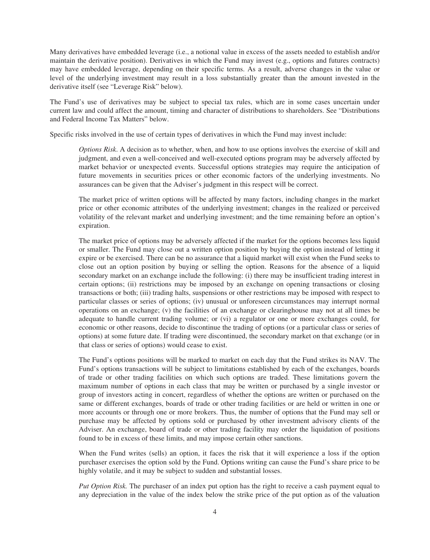Many derivatives have embedded leverage (i.e., a notional value in excess of the assets needed to establish and/or maintain the derivative position). Derivatives in which the Fund may invest (e.g., options and futures contracts) may have embedded leverage, depending on their specific terms. As a result, adverse changes in the value or level of the underlying investment may result in a loss substantially greater than the amount invested in the derivative itself (see "Leverage Risk" below).

The Fund's use of derivatives may be subject to special tax rules, which are in some cases uncertain under current law and could affect the amount, timing and character of distributions to shareholders. See "Distributions and Federal Income Tax Matters" below.

Specific risks involved in the use of certain types of derivatives in which the Fund may invest include:

*Options Risk*. A decision as to whether, when, and how to use options involves the exercise of skill and judgment, and even a well-conceived and well-executed options program may be adversely affected by market behavior or unexpected events. Successful options strategies may require the anticipation of future movements in securities prices or other economic factors of the underlying investments. No assurances can be given that the Adviser's judgment in this respect will be correct.

The market price of written options will be affected by many factors, including changes in the market price or other economic attributes of the underlying investment; changes in the realized or perceived volatility of the relevant market and underlying investment; and the time remaining before an option's expiration.

The market price of options may be adversely affected if the market for the options becomes less liquid or smaller. The Fund may close out a written option position by buying the option instead of letting it expire or be exercised. There can be no assurance that a liquid market will exist when the Fund seeks to close out an option position by buying or selling the option. Reasons for the absence of a liquid secondary market on an exchange include the following: (i) there may be insufficient trading interest in certain options; (ii) restrictions may be imposed by an exchange on opening transactions or closing transactions or both; (iii) trading halts, suspensions or other restrictions may be imposed with respect to particular classes or series of options; (iv) unusual or unforeseen circumstances may interrupt normal operations on an exchange; (v) the facilities of an exchange or clearinghouse may not at all times be adequate to handle current trading volume; or (vi) a regulator or one or more exchanges could, for economic or other reasons, decide to discontinue the trading of options (or a particular class or series of options) at some future date. If trading were discontinued, the secondary market on that exchange (or in that class or series of options) would cease to exist.

The Fund's options positions will be marked to market on each day that the Fund strikes its NAV. The Fund's options transactions will be subject to limitations established by each of the exchanges, boards of trade or other trading facilities on which such options are traded. These limitations govern the maximum number of options in each class that may be written or purchased by a single investor or group of investors acting in concert, regardless of whether the options are written or purchased on the same or different exchanges, boards of trade or other trading facilities or are held or written in one or more accounts or through one or more brokers. Thus, the number of options that the Fund may sell or purchase may be affected by options sold or purchased by other investment advisory clients of the Adviser. An exchange, board of trade or other trading facility may order the liquidation of positions found to be in excess of these limits, and may impose certain other sanctions.

When the Fund writes (sells) an option, it faces the risk that it will experience a loss if the option purchaser exercises the option sold by the Fund. Options writing can cause the Fund's share price to be highly volatile, and it may be subject to sudden and substantial losses.

*Put Option Risk.* The purchaser of an index put option has the right to receive a cash payment equal to any depreciation in the value of the index below the strike price of the put option as of the valuation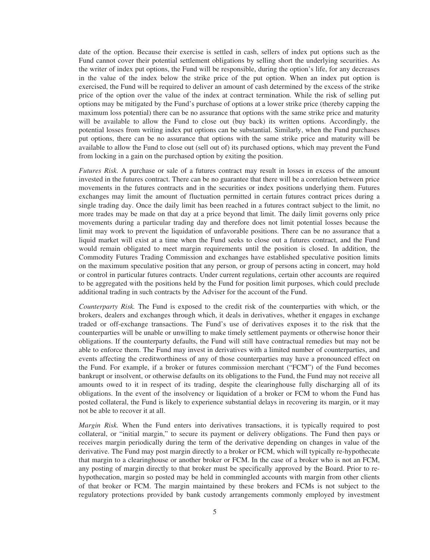date of the option. Because their exercise is settled in cash, sellers of index put options such as the Fund cannot cover their potential settlement obligations by selling short the underlying securities. As the writer of index put options, the Fund will be responsible, during the option's life, for any decreases in the value of the index below the strike price of the put option. When an index put option is exercised, the Fund will be required to deliver an amount of cash determined by the excess of the strike price of the option over the value of the index at contract termination. While the risk of selling put options may be mitigated by the Fund's purchase of options at a lower strike price (thereby capping the maximum loss potential) there can be no assurance that options with the same strike price and maturity will be available to allow the Fund to close out (buy back) its written options. Accordingly, the potential losses from writing index put options can be substantial. Similarly, when the Fund purchases put options, there can be no assurance that options with the same strike price and maturity will be available to allow the Fund to close out (sell out of) its purchased options, which may prevent the Fund from locking in a gain on the purchased option by exiting the position.

*Futures Risk.* A purchase or sale of a futures contract may result in losses in excess of the amount invested in the futures contract. There can be no guarantee that there will be a correlation between price movements in the futures contracts and in the securities or index positions underlying them. Futures exchanges may limit the amount of fluctuation permitted in certain futures contract prices during a single trading day. Once the daily limit has been reached in a futures contract subject to the limit, no more trades may be made on that day at a price beyond that limit. The daily limit governs only price movements during a particular trading day and therefore does not limit potential losses because the limit may work to prevent the liquidation of unfavorable positions. There can be no assurance that a liquid market will exist at a time when the Fund seeks to close out a futures contract, and the Fund would remain obligated to meet margin requirements until the position is closed. In addition, the Commodity Futures Trading Commission and exchanges have established speculative position limits on the maximum speculative position that any person, or group of persons acting in concert, may hold or control in particular futures contracts. Under current regulations, certain other accounts are required to be aggregated with the positions held by the Fund for position limit purposes, which could preclude additional trading in such contracts by the Adviser for the account of the Fund.

*Counterparty Risk.* The Fund is exposed to the credit risk of the counterparties with which, or the brokers, dealers and exchanges through which, it deals in derivatives, whether it engages in exchange traded or off-exchange transactions. The Fund's use of derivatives exposes it to the risk that the counterparties will be unable or unwilling to make timely settlement payments or otherwise honor their obligations. If the counterparty defaults, the Fund will still have contractual remedies but may not be able to enforce them. The Fund may invest in derivatives with a limited number of counterparties, and events affecting the creditworthiness of any of those counterparties may have a pronounced effect on the Fund. For example, if a broker or futures commission merchant ("FCM") of the Fund becomes bankrupt or insolvent, or otherwise defaults on its obligations to the Fund, the Fund may not receive all amounts owed to it in respect of its trading, despite the clearinghouse fully discharging all of its obligations. In the event of the insolvency or liquidation of a broker or FCM to whom the Fund has posted collateral, the Fund is likely to experience substantial delays in recovering its margin, or it may not be able to recover it at all.

*Margin Risk.* When the Fund enters into derivatives transactions, it is typically required to post collateral, or "initial margin," to secure its payment or delivery obligations. The Fund then pays or receives margin periodically during the term of the derivative depending on changes in value of the derivative. The Fund may post margin directly to a broker or FCM, which will typically re-hypothecate that margin to a clearinghouse or another broker or FCM. In the case of a broker who is not an FCM, any posting of margin directly to that broker must be specifically approved by the Board. Prior to rehypothecation, margin so posted may be held in commingled accounts with margin from other clients of that broker or FCM. The margin maintained by these brokers and FCMs is not subject to the regulatory protections provided by bank custody arrangements commonly employed by investment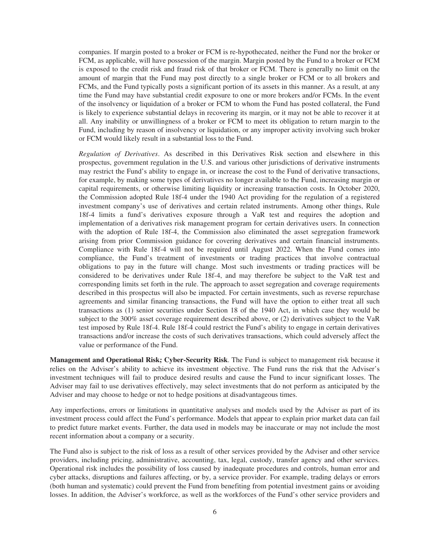companies. If margin posted to a broker or FCM is re-hypothecated, neither the Fund nor the broker or FCM, as applicable, will have possession of the margin. Margin posted by the Fund to a broker or FCM is exposed to the credit risk and fraud risk of that broker or FCM. There is generally no limit on the amount of margin that the Fund may post directly to a single broker or FCM or to all brokers and FCMs, and the Fund typically posts a significant portion of its assets in this manner. As a result, at any time the Fund may have substantial credit exposure to one or more brokers and/or FCMs. In the event of the insolvency or liquidation of a broker or FCM to whom the Fund has posted collateral, the Fund is likely to experience substantial delays in recovering its margin, or it may not be able to recover it at all. Any inability or unwillingness of a broker or FCM to meet its obligation to return margin to the Fund, including by reason of insolvency or liquidation, or any improper activity involving such broker or FCM would likely result in a substantial loss to the Fund.

*Regulation of Derivatives*. As described in this Derivatives Risk section and elsewhere in this prospectus, government regulation in the U.S. and various other jurisdictions of derivative instruments may restrict the Fund's ability to engage in, or increase the cost to the Fund of derivative transactions, for example, by making some types of derivatives no longer available to the Fund, increasing margin or capital requirements, or otherwise limiting liquidity or increasing transaction costs. In October 2020, the Commission adopted Rule 18f-4 under the 1940 Act providing for the regulation of a registered investment company's use of derivatives and certain related instruments. Among other things, Rule 18f-4 limits a fund's derivatives exposure through a VaR test and requires the adoption and implementation of a derivatives risk management program for certain derivatives users. In connection with the adoption of Rule 18f-4, the Commission also eliminated the asset segregation framework arising from prior Commission guidance for covering derivatives and certain financial instruments. Compliance with Rule 18f-4 will not be required until August 2022. When the Fund comes into compliance, the Fund's treatment of investments or trading practices that involve contractual obligations to pay in the future will change. Most such investments or trading practices will be considered to be derivatives under Rule 18f-4, and may therefore be subject to the VaR test and corresponding limits set forth in the rule. The approach to asset segregation and coverage requirements described in this prospectus will also be impacted. For certain investments, such as reverse repurchase agreements and similar financing transactions, the Fund will have the option to either treat all such transactions as (1) senior securities under Section 18 of the 1940 Act, in which case they would be subject to the 300% asset coverage requirement described above, or (2) derivatives subject to the VaR test imposed by Rule 18f-4. Rule 18f-4 could restrict the Fund's ability to engage in certain derivatives transactions and/or increase the costs of such derivatives transactions, which could adversely affect the value or performance of the Fund.

**Management and Operational Risk; Cyber-Security Risk**. The Fund is subject to management risk because it relies on the Adviser's ability to achieve its investment objective. The Fund runs the risk that the Adviser's investment techniques will fail to produce desired results and cause the Fund to incur significant losses. The Adviser may fail to use derivatives effectively, may select investments that do not perform as anticipated by the Adviser and may choose to hedge or not to hedge positions at disadvantageous times.

Any imperfections, errors or limitations in quantitative analyses and models used by the Adviser as part of its investment process could affect the Fund's performance. Models that appear to explain prior market data can fail to predict future market events. Further, the data used in models may be inaccurate or may not include the most recent information about a company or a security.

The Fund also is subject to the risk of loss as a result of other services provided by the Adviser and other service providers, including pricing, administrative, accounting, tax, legal, custody, transfer agency and other services. Operational risk includes the possibility of loss caused by inadequate procedures and controls, human error and cyber attacks, disruptions and failures affecting, or by, a service provider. For example, trading delays or errors (both human and systematic) could prevent the Fund from benefiting from potential investment gains or avoiding losses. In addition, the Adviser's workforce, as well as the workforces of the Fund's other service providers and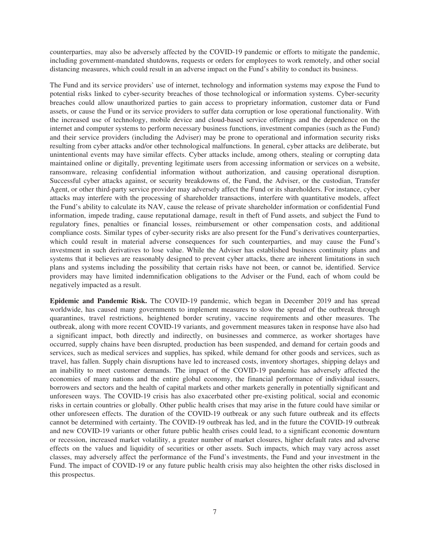counterparties, may also be adversely affected by the COVID-19 pandemic or efforts to mitigate the pandemic, including government-mandated shutdowns, requests or orders for employees to work remotely, and other social distancing measures, which could result in an adverse impact on the Fund's ability to conduct its business.

The Fund and its service providers' use of internet, technology and information systems may expose the Fund to potential risks linked to cyber-security breaches of those technological or information systems. Cyber-security breaches could allow unauthorized parties to gain access to proprietary information, customer data or Fund assets, or cause the Fund or its service providers to suffer data corruption or lose operational functionality. With the increased use of technology, mobile device and cloud-based service offerings and the dependence on the internet and computer systems to perform necessary business functions, investment companies (such as the Fund) and their service providers (including the Adviser) may be prone to operational and information security risks resulting from cyber attacks and/or other technological malfunctions. In general, cyber attacks are deliberate, but unintentional events may have similar effects. Cyber attacks include, among others, stealing or corrupting data maintained online or digitally, preventing legitimate users from accessing information or services on a website, ransomware, releasing confidential information without authorization, and causing operational disruption. Successful cyber attacks against, or security breakdowns of, the Fund, the Adviser, or the custodian, Transfer Agent, or other third-party service provider may adversely affect the Fund or its shareholders. For instance, cyber attacks may interfere with the processing of shareholder transactions, interfere with quantitative models, affect the Fund's ability to calculate its NAV, cause the release of private shareholder information or confidential Fund information, impede trading, cause reputational damage, result in theft of Fund assets, and subject the Fund to regulatory fines, penalties or financial losses, reimbursement or other compensation costs, and additional compliance costs. Similar types of cyber-security risks are also present for the Fund's derivatives counterparties, which could result in material adverse consequences for such counterparties, and may cause the Fund's investment in such derivatives to lose value. While the Adviser has established business continuity plans and systems that it believes are reasonably designed to prevent cyber attacks, there are inherent limitations in such plans and systems including the possibility that certain risks have not been, or cannot be, identified. Service providers may have limited indemnification obligations to the Adviser or the Fund, each of whom could be negatively impacted as a result.

**Epidemic and Pandemic Risk.** The COVID-19 pandemic, which began in December 2019 and has spread worldwide, has caused many governments to implement measures to slow the spread of the outbreak through quarantines, travel restrictions, heightened border scrutiny, vaccine requirements and other measures. The outbreak, along with more recent COVID-19 variants, and government measures taken in response have also had a significant impact, both directly and indirectly, on businesses and commerce, as worker shortages have occurred, supply chains have been disrupted, production has been suspended, and demand for certain goods and services, such as medical services and supplies, has spiked, while demand for other goods and services, such as travel, has fallen. Supply chain disruptions have led to increased costs, inventory shortages, shipping delays and an inability to meet customer demands. The impact of the COVID-19 pandemic has adversely affected the economies of many nations and the entire global economy, the financial performance of individual issuers, borrowers and sectors and the health of capital markets and other markets generally in potentially significant and unforeseen ways. The COVID-19 crisis has also exacerbated other pre-existing political, social and economic risks in certain countries or globally. Other public health crises that may arise in the future could have similar or other unforeseen effects. The duration of the COVID-19 outbreak or any such future outbreak and its effects cannot be determined with certainty. The COVID-19 outbreak has led, and in the future the COVID-19 outbreak and new COVID-19 variants or other future public health crises could lead, to a significant economic downturn or recession, increased market volatility, a greater number of market closures, higher default rates and adverse effects on the values and liquidity of securities or other assets. Such impacts, which may vary across asset classes, may adversely affect the performance of the Fund's investments, the Fund and your investment in the Fund. The impact of COVID-19 or any future public health crisis may also heighten the other risks disclosed in this prospectus.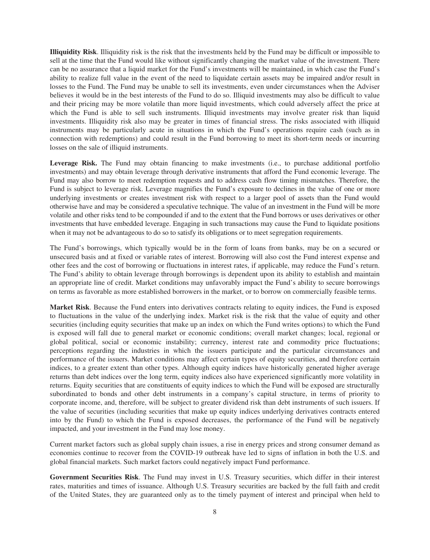**Illiquidity Risk**. Illiquidity risk is the risk that the investments held by the Fund may be difficult or impossible to sell at the time that the Fund would like without significantly changing the market value of the investment. There can be no assurance that a liquid market for the Fund's investments will be maintained, in which case the Fund's ability to realize full value in the event of the need to liquidate certain assets may be impaired and/or result in losses to the Fund. The Fund may be unable to sell its investments, even under circumstances when the Adviser believes it would be in the best interests of the Fund to do so. Illiquid investments may also be difficult to value and their pricing may be more volatile than more liquid investments, which could adversely affect the price at which the Fund is able to sell such instruments. Illiquid investments may involve greater risk than liquid investments. Illiquidity risk also may be greater in times of financial stress. The risks associated with illiquid instruments may be particularly acute in situations in which the Fund's operations require cash (such as in connection with redemptions) and could result in the Fund borrowing to meet its short-term needs or incurring losses on the sale of illiquid instruments.

**Leverage Risk.** The Fund may obtain financing to make investments (i.e., to purchase additional portfolio investments) and may obtain leverage through derivative instruments that afford the Fund economic leverage. The Fund may also borrow to meet redemption requests and to address cash flow timing mismatches. Therefore, the Fund is subject to leverage risk. Leverage magnifies the Fund's exposure to declines in the value of one or more underlying investments or creates investment risk with respect to a larger pool of assets than the Fund would otherwise have and may be considered a speculative technique. The value of an investment in the Fund will be more volatile and other risks tend to be compounded if and to the extent that the Fund borrows or uses derivatives or other investments that have embedded leverage. Engaging in such transactions may cause the Fund to liquidate positions when it may not be advantageous to do so to satisfy its obligations or to meet segregation requirements.

The Fund's borrowings, which typically would be in the form of loans from banks, may be on a secured or unsecured basis and at fixed or variable rates of interest. Borrowing will also cost the Fund interest expense and other fees and the cost of borrowing or fluctuations in interest rates, if applicable, may reduce the Fund's return. The Fund's ability to obtain leverage through borrowings is dependent upon its ability to establish and maintain an appropriate line of credit. Market conditions may unfavorably impact the Fund's ability to secure borrowings on terms as favorable as more established borrowers in the market, or to borrow on commercially feasible terms.

**Market Risk**. Because the Fund enters into derivatives contracts relating to equity indices, the Fund is exposed to fluctuations in the value of the underlying index. Market risk is the risk that the value of equity and other securities (including equity securities that make up an index on which the Fund writes options) to which the Fund is exposed will fall due to general market or economic conditions; overall market changes; local, regional or global political, social or economic instability; currency, interest rate and commodity price fluctuations; perceptions regarding the industries in which the issuers participate and the particular circumstances and performance of the issuers. Market conditions may affect certain types of equity securities, and therefore certain indices, to a greater extent than other types. Although equity indices have historically generated higher average returns than debt indices over the long term, equity indices also have experienced significantly more volatility in returns. Equity securities that are constituents of equity indices to which the Fund will be exposed are structurally subordinated to bonds and other debt instruments in a company's capital structure, in terms of priority to corporate income, and, therefore, will be subject to greater dividend risk than debt instruments of such issuers. If the value of securities (including securities that make up equity indices underlying derivatives contracts entered into by the Fund) to which the Fund is exposed decreases, the performance of the Fund will be negatively impacted, and your investment in the Fund may lose money.

Current market factors such as global supply chain issues, a rise in energy prices and strong consumer demand as economies continue to recover from the COVID-19 outbreak have led to signs of inflation in both the U.S. and global financial markets. Such market factors could negatively impact Fund performance.

**Government Securities Risk**. The Fund may invest in U.S. Treasury securities, which differ in their interest rates, maturities and times of issuance. Although U.S. Treasury securities are backed by the full faith and credit of the United States, they are guaranteed only as to the timely payment of interest and principal when held to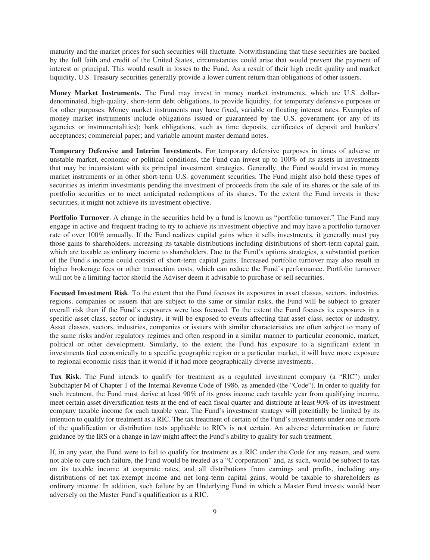maturity and the market prices for such securities will fluctuate. Notwithstanding that these securities are backed by the full faith and credit of the United States, circumstances could arise that would prevent the payment of interest or principal. This would result in losses to the Fund. As a result of their high credit quality and market liquidity, U.S. Treasury securities generally provide a lower current return than obligations of other issuers.

**Money Market Instruments.** The Fund may invest in money market instruments, which are U.S. dollardenominated, high-quality, short-term debt obligations, to provide liquidity, for temporary defensive purposes or for other purposes. Money market instruments may have fixed, variable or floating interest rates. Examples of money market instruments include obligations issued or guaranteed by the U.S. government (or any of its agencies or instrumentalities); bank obligations, such as time deposits, certificates of deposit and bankers' acceptances; commercial paper; and variable amount master demand notes.

**Temporary Defensive and Interim Investments**. For temporary defensive purposes in times of adverse or unstable market, economic or political conditions, the Fund can invest up to 100% of its assets in investments that may be inconsistent with its principal investment strategies. Generally, the Fund would invest in money market instruments or in other short-term U.S. government securities. The Fund might also hold these types of securities as interim investments pending the investment of proceeds from the sale of its shares or the sale of its portfolio securities or to meet anticipated redemptions of its shares. To the extent the Fund invests in these securities, it might not achieve its investment objective.

**Portfolio Turnover**. A change in the securities held by a fund is known as "portfolio turnover." The Fund may engage in active and frequent trading to try to achieve its investment objective and may have a portfolio turnover rate of over 100% annually. If the Fund realizes capital gains when it sells investments, it generally must pay those gains to shareholders, increasing its taxable distributions including distributions of short-term capital gain, which are taxable as ordinary income to shareholders. Due to the Fund's options strategies, a substantial portion of the Fund's income could consist of short-term capital gains. Increased portfolio turnover may also result in higher brokerage fees or other transaction costs, which can reduce the Fund's performance. Portfolio turnover will not be a limiting factor should the Adviser deem it advisable to purchase or sell securities.

**Focused Investment Risk**. To the extent that the Fund focuses its exposures in asset classes, sectors, industries, regions, companies or issuers that are subject to the same or similar risks, the Fund will be subject to greater overall risk than if the Fund's exposures were less focused. To the extent the Fund focuses its exposures in a specific asset class, sector or industry, it will be exposed to events affecting that asset class, sector or industry. Asset classes, sectors, industries, companies or issuers with similar characteristics are often subject to many of the same risks and/or regulatory regimes and often respond in a similar manner to particular economic, market, political or other development. Similarly, to the extent the Fund has exposure to a significant extent in investments tied economically to a specific geographic region or a particular market, it will have more exposure to regional economic risks than it would if it had more geographically diverse investments.

**Tax Risk**. The Fund intends to qualify for treatment as a regulated investment company (a "RIC") under Subchapter M of Chapter 1 of the Internal Revenue Code of 1986, as amended (the "Code"). In order to qualify for such treatment, the Fund must derive at least 90% of its gross income each taxable year from qualifying income, meet certain asset diversification tests at the end of each fiscal quarter and distribute at least 90% of its investment company taxable income for each taxable year. The Fund's investment strategy will potentially be limited by its intention to qualify for treatment as a RIC. The tax treatment of certain of the Fund's investments under one or more of the qualification or distribution tests applicable to RICs is not certain. An adverse determination or future guidance by the IRS or a change in law might affect the Fund's ability to qualify for such treatment.

If, in any year, the Fund were to fail to qualify for treatment as a RIC under the Code for any reason, and were not able to cure such failure, the Fund would be treated as a "C corporation" and, as such, would be subject to tax on its taxable income at corporate rates, and all distributions from earnings and profits, including any distributions of net tax-exempt income and net long-term capital gains, would be taxable to shareholders as ordinary income. In addition, such failure by an Underlying Fund in which a Master Fund invests would bear adversely on the Master Fund's qualification as a RIC.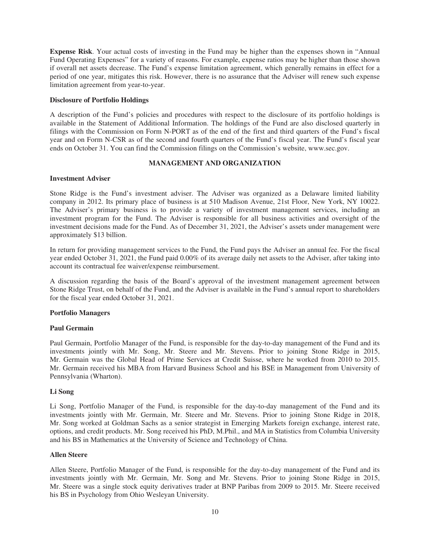**Expense Risk**. Your actual costs of investing in the Fund may be higher than the expenses shown in "Annual Fund Operating Expenses" for a variety of reasons. For example, expense ratios may be higher than those shown if overall net assets decrease. The Fund's expense limitation agreement, which generally remains in effect for a period of one year, mitigates this risk. However, there is no assurance that the Adviser will renew such expense limitation agreement from year-to-year.

# <span id="page-21-0"></span>**Disclosure of Portfolio Holdings**

A description of the Fund's policies and procedures with respect to the disclosure of its portfolio holdings is available in the Statement of Additional Information. The holdings of the Fund are also disclosed quarterly in filings with the Commission on Form N-PORT as of the end of the first and third quarters of the Fund's fiscal year and on Form N-CSR as of the second and fourth quarters of the Fund's fiscal year. The Fund's fiscal year ends on October 31. You can find the Commission filings on the Commission's website, www.sec.gov.

# **MANAGEMENT AND ORGANIZATION**

# <span id="page-21-2"></span><span id="page-21-1"></span>**Investment Adviser**

Stone Ridge is the Fund's investment adviser. The Adviser was organized as a Delaware limited liability company in 2012. Its primary place of business is at 510 Madison Avenue, 21st Floor, New York, NY 10022. The Adviser's primary business is to provide a variety of investment management services, including an investment program for the Fund. The Adviser is responsible for all business activities and oversight of the investment decisions made for the Fund. As of December 31, 2021, the Adviser's assets under management were approximately \$13 billion.

In return for providing management services to the Fund, the Fund pays the Adviser an annual fee. For the fiscal year ended October 31, 2021, the Fund paid 0.00% of its average daily net assets to the Adviser, after taking into account its contractual fee waiver/expense reimbursement.

<span id="page-21-3"></span>A discussion regarding the basis of the Board's approval of the investment management agreement between Stone Ridge Trust, on behalf of the Fund, and the Adviser is available in the Fund's annual report to shareholders for the fiscal year ended October 31, 2021.

#### **Portfolio Managers**

#### **Paul Germain**

Paul Germain, Portfolio Manager of the Fund, is responsible for the day-to-day management of the Fund and its investments jointly with Mr. Song, Mr. Steere and Mr. Stevens. Prior to joining Stone Ridge in 2015, Mr. Germain was the Global Head of Prime Services at Credit Suisse, where he worked from 2010 to 2015. Mr. Germain received his MBA from Harvard Business School and his BSE in Management from University of Pennsylvania (Wharton).

# **Li Song**

Li Song, Portfolio Manager of the Fund, is responsible for the day-to-day management of the Fund and its investments jointly with Mr. Germain, Mr. Steere and Mr. Stevens. Prior to joining Stone Ridge in 2018, Mr. Song worked at Goldman Sachs as a senior strategist in Emerging Markets foreign exchange, interest rate, options, and credit products. Mr. Song received his PhD, M.Phil., and MA in Statistics from Columbia University and his BS in Mathematics at the University of Science and Technology of China.

#### **Allen Steere**

Allen Steere, Portfolio Manager of the Fund, is responsible for the day-to-day management of the Fund and its investments jointly with Mr. Germain, Mr. Song and Mr. Stevens. Prior to joining Stone Ridge in 2015, Mr. Steere was a single stock equity derivatives trader at BNP Paribas from 2009 to 2015. Mr. Steere received his BS in Psychology from Ohio Wesleyan University.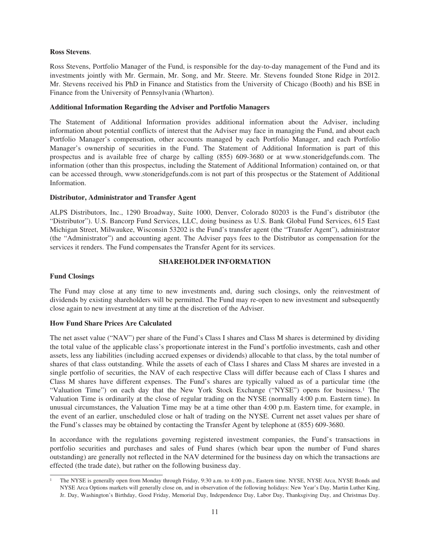#### **Ross Stevens**.

Ross Stevens, Portfolio Manager of the Fund, is responsible for the day-to-day management of the Fund and its investments jointly with Mr. Germain, Mr. Song, and Mr. Steere. Mr. Stevens founded Stone Ridge in 2012. Mr. Stevens received his PhD in Finance and Statistics from the University of Chicago (Booth) and his BSE in Finance from the University of Pennsylvania (Wharton).

#### <span id="page-22-0"></span>**Additional Information Regarding the Adviser and Portfolio Managers**

The Statement of Additional Information provides additional information about the Adviser, including information about potential conflicts of interest that the Adviser may face in managing the Fund, and about each Portfolio Manager's compensation, other accounts managed by each Portfolio Manager, and each Portfolio Manager's ownership of securities in the Fund. The Statement of Additional Information is part of this prospectus and is available free of charge by calling (855) 609-3680 or at www.stoneridgefunds.com. The information (other than this prospectus, including the Statement of Additional Information) contained on, or that can be accessed through, www.stoneridgefunds.com is not part of this prospectus or the Statement of Additional Information.

#### <span id="page-22-1"></span>**Distributor, Administrator and Transfer Agent**

ALPS Distributors, Inc., 1290 Broadway, Suite 1000, Denver, Colorado 80203 is the Fund's distributor (the "Distributor"). U.S. Bancorp Fund Services, LLC, doing business as U.S. Bank Global Fund Services, 615 East Michigan Street, Milwaukee, Wisconsin 53202 is the Fund's transfer agent (the "Transfer Agent"), administrator (the "Administrator") and accounting agent. The Adviser pays fees to the Distributor as compensation for the services it renders. The Fund compensates the Transfer Agent for its services.

# **SHAREHOLDER INFORMATION**

# <span id="page-22-3"></span><span id="page-22-2"></span>**Fund Closings**

The Fund may close at any time to new investments and, during such closings, only the reinvestment of dividends by existing shareholders will be permitted. The Fund may re-open to new investment and subsequently close again to new investment at any time at the discretion of the Adviser.

# <span id="page-22-4"></span>**How Fund Share Prices Are Calculated**

The net asset value ("NAV") per share of the Fund's Class I shares and Class M shares is determined by dividing the total value of the applicable class's proportionate interest in the Fund's portfolio investments, cash and other assets, less any liabilities (including accrued expenses or dividends) allocable to that class, by the total number of shares of that class outstanding. While the assets of each of Class I shares and Class M shares are invested in a single portfolio of securities, the NAV of each respective Class will differ because each of Class I shares and Class M shares have different expenses. The Fund's shares are typically valued as of a particular time (the "Valuation Time") on each day that the New York Stock Exchange ("NYSE") opens for business.1 The Valuation Time is ordinarily at the close of regular trading on the NYSE (normally 4:00 p.m. Eastern time). In unusual circumstances, the Valuation Time may be at a time other than 4:00 p.m. Eastern time, for example, in the event of an earlier, unscheduled close or halt of trading on the NYSE. Current net asset values per share of the Fund's classes may be obtained by contacting the Transfer Agent by telephone at (855) 609-3680.

In accordance with the regulations governing registered investment companies, the Fund's transactions in portfolio securities and purchases and sales of Fund shares (which bear upon the number of Fund shares outstanding) are generally not reflected in the NAV determined for the business day on which the transactions are effected (the trade date), but rather on the following business day.

<sup>1</sup> The NYSE is generally open from Monday through Friday, 9:30 a.m. to 4:00 p.m., Eastern time. NYSE, NYSE Arca, NYSE Bonds and NYSE Arca Options markets will generally close on, and in observation of the following holidays: New Year's Day, Martin Luther King, Jr. Day, Washington's Birthday, Good Friday, Memorial Day, Independence Day, Labor Day, Thanksgiving Day, and Christmas Day.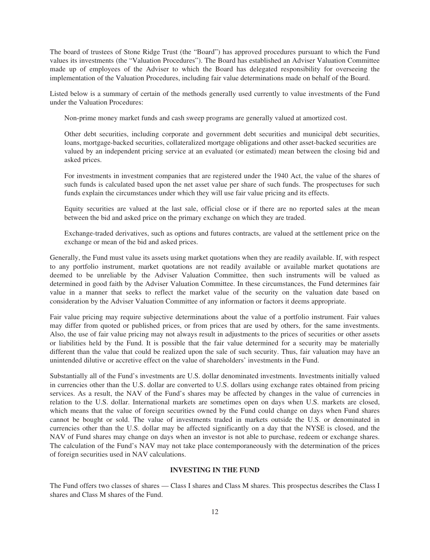The board of trustees of Stone Ridge Trust (the "Board") has approved procedures pursuant to which the Fund values its investments (the "Valuation Procedures"). The Board has established an Adviser Valuation Committee made up of employees of the Adviser to which the Board has delegated responsibility for overseeing the implementation of the Valuation Procedures, including fair value determinations made on behalf of the Board.

Listed below is a summary of certain of the methods generally used currently to value investments of the Fund under the Valuation Procedures:

Non-prime money market funds and cash sweep programs are generally valued at amortized cost.

Other debt securities, including corporate and government debt securities and municipal debt securities, loans, mortgage-backed securities, collateralized mortgage obligations and other asset-backed securities are valued by an independent pricing service at an evaluated (or estimated) mean between the closing bid and asked prices.

For investments in investment companies that are registered under the 1940 Act, the value of the shares of such funds is calculated based upon the net asset value per share of such funds. The prospectuses for such funds explain the circumstances under which they will use fair value pricing and its effects.

Equity securities are valued at the last sale, official close or if there are no reported sales at the mean between the bid and asked price on the primary exchange on which they are traded.

Exchange-traded derivatives, such as options and futures contracts, are valued at the settlement price on the exchange or mean of the bid and asked prices.

Generally, the Fund must value its assets using market quotations when they are readily available. If, with respect to any portfolio instrument, market quotations are not readily available or available market quotations are deemed to be unreliable by the Adviser Valuation Committee, then such instruments will be valued as determined in good faith by the Adviser Valuation Committee. In these circumstances, the Fund determines fair value in a manner that seeks to reflect the market value of the security on the valuation date based on consideration by the Adviser Valuation Committee of any information or factors it deems appropriate.

Fair value pricing may require subjective determinations about the value of a portfolio instrument. Fair values may differ from quoted or published prices, or from prices that are used by others, for the same investments. Also, the use of fair value pricing may not always result in adjustments to the prices of securities or other assets or liabilities held by the Fund. It is possible that the fair value determined for a security may be materially different than the value that could be realized upon the sale of such security. Thus, fair valuation may have an unintended dilutive or accretive effect on the value of shareholders' investments in the Fund.

Substantially all of the Fund's investments are U.S. dollar denominated investments. Investments initially valued in currencies other than the U.S. dollar are converted to U.S. dollars using exchange rates obtained from pricing services. As a result, the NAV of the Fund's shares may be affected by changes in the value of currencies in relation to the U.S. dollar. International markets are sometimes open on days when U.S. markets are closed, which means that the value of foreign securities owned by the Fund could change on days when Fund shares cannot be bought or sold. The value of investments traded in markets outside the U.S. or denominated in currencies other than the U.S. dollar may be affected significantly on a day that the NYSE is closed, and the NAV of Fund shares may change on days when an investor is not able to purchase, redeem or exchange shares. The calculation of the Fund's NAV may not take place contemporaneously with the determination of the prices of foreign securities used in NAV calculations.

#### **INVESTING IN THE FUND**

<span id="page-23-0"></span>The Fund offers two classes of shares — Class I shares and Class M shares. This prospectus describes the Class I shares and Class M shares of the Fund.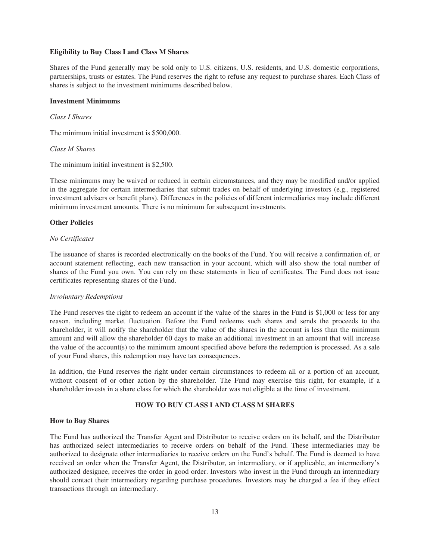#### <span id="page-24-0"></span>**Eligibility to Buy Class I and Class M Shares**

Shares of the Fund generally may be sold only to U.S. citizens, U.S. residents, and U.S. domestic corporations, partnerships, trusts or estates. The Fund reserves the right to refuse any request to purchase shares. Each Class of shares is subject to the investment minimums described below.

## <span id="page-24-1"></span>**Investment Minimums**

### *Class I Shares*

The minimum initial investment is \$500,000.

#### *Class M Shares*

The minimum initial investment is \$2,500.

These minimums may be waived or reduced in certain circumstances, and they may be modified and/or applied in the aggregate for certain intermediaries that submit trades on behalf of underlying investors (e.g., registered investment advisers or benefit plans). Differences in the policies of different intermediaries may include different minimum investment amounts. There is no minimum for subsequent investments.

# <span id="page-24-2"></span>**Other Policies**

#### *No Certificates*

The issuance of shares is recorded electronically on the books of the Fund. You will receive a confirmation of, or account statement reflecting, each new transaction in your account, which will also show the total number of shares of the Fund you own. You can rely on these statements in lieu of certificates. The Fund does not issue certificates representing shares of the Fund.

#### *Involuntary Redemptions*

The Fund reserves the right to redeem an account if the value of the shares in the Fund is \$1,000 or less for any reason, including market fluctuation. Before the Fund redeems such shares and sends the proceeds to the shareholder, it will notify the shareholder that the value of the shares in the account is less than the minimum amount and will allow the shareholder 60 days to make an additional investment in an amount that will increase the value of the account(s) to the minimum amount specified above before the redemption is processed. As a sale of your Fund shares, this redemption may have tax consequences.

<span id="page-24-3"></span>In addition, the Fund reserves the right under certain circumstances to redeem all or a portion of an account, without consent of or other action by the shareholder. The Fund may exercise this right, for example, if a shareholder invests in a share class for which the shareholder was not eligible at the time of investment.

# **HOW TO BUY CLASS I AND CLASS M SHARES**

# <span id="page-24-4"></span>**How to Buy Shares**

The Fund has authorized the Transfer Agent and Distributor to receive orders on its behalf, and the Distributor has authorized select intermediaries to receive orders on behalf of the Fund. These intermediaries may be authorized to designate other intermediaries to receive orders on the Fund's behalf. The Fund is deemed to have received an order when the Transfer Agent, the Distributor, an intermediary, or if applicable, an intermediary's authorized designee, receives the order in good order. Investors who invest in the Fund through an intermediary should contact their intermediary regarding purchase procedures. Investors may be charged a fee if they effect transactions through an intermediary.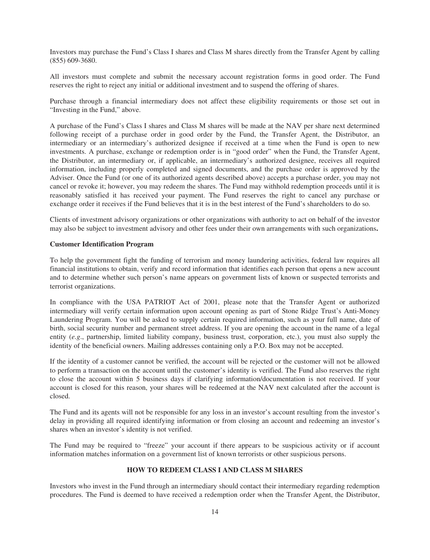Investors may purchase the Fund's Class I shares and Class M shares directly from the Transfer Agent by calling (855) 609-3680.

All investors must complete and submit the necessary account registration forms in good order. The Fund reserves the right to reject any initial or additional investment and to suspend the offering of shares.

Purchase through a financial intermediary does not affect these eligibility requirements or those set out in "Investing in the Fund," above.

A purchase of the Fund's Class I shares and Class M shares will be made at the NAV per share next determined following receipt of a purchase order in good order by the Fund, the Transfer Agent, the Distributor, an intermediary or an intermediary's authorized designee if received at a time when the Fund is open to new investments. A purchase, exchange or redemption order is in "good order" when the Fund, the Transfer Agent, the Distributor, an intermediary or, if applicable, an intermediary's authorized designee, receives all required information, including properly completed and signed documents, and the purchase order is approved by the Adviser. Once the Fund (or one of its authorized agents described above) accepts a purchase order, you may not cancel or revoke it; however, you may redeem the shares. The Fund may withhold redemption proceeds until it is reasonably satisfied it has received your payment. The Fund reserves the right to cancel any purchase or exchange order it receives if the Fund believes that it is in the best interest of the Fund's shareholders to do so.

<span id="page-25-0"></span>Clients of investment advisory organizations or other organizations with authority to act on behalf of the investor may also be subject to investment advisory and other fees under their own arrangements with such organizations**.**

#### **Customer Identification Program**

To help the government fight the funding of terrorism and money laundering activities, federal law requires all financial institutions to obtain, verify and record information that identifies each person that opens a new account and to determine whether such person's name appears on government lists of known or suspected terrorists and terrorist organizations.

In compliance with the USA PATRIOT Act of 2001, please note that the Transfer Agent or authorized intermediary will verify certain information upon account opening as part of Stone Ridge Trust's Anti-Money Laundering Program. You will be asked to supply certain required information, such as your full name, date of birth, social security number and permanent street address. If you are opening the account in the name of a legal entity (*e.g*., partnership, limited liability company, business trust, corporation, etc.), you must also supply the identity of the beneficial owners. Mailing addresses containing only a P.O. Box may not be accepted.

If the identity of a customer cannot be verified, the account will be rejected or the customer will not be allowed to perform a transaction on the account until the customer's identity is verified. The Fund also reserves the right to close the account within 5 business days if clarifying information/documentation is not received. If your account is closed for this reason, your shares will be redeemed at the NAV next calculated after the account is closed.

The Fund and its agents will not be responsible for any loss in an investor's account resulting from the investor's delay in providing all required identifying information or from closing an account and redeeming an investor's shares when an investor's identity is not verified.

<span id="page-25-1"></span>The Fund may be required to "freeze" your account if there appears to be suspicious activity or if account information matches information on a government list of known terrorists or other suspicious persons.

# **HOW TO REDEEM CLASS I AND CLASS M SHARES**

Investors who invest in the Fund through an intermediary should contact their intermediary regarding redemption procedures. The Fund is deemed to have received a redemption order when the Transfer Agent, the Distributor,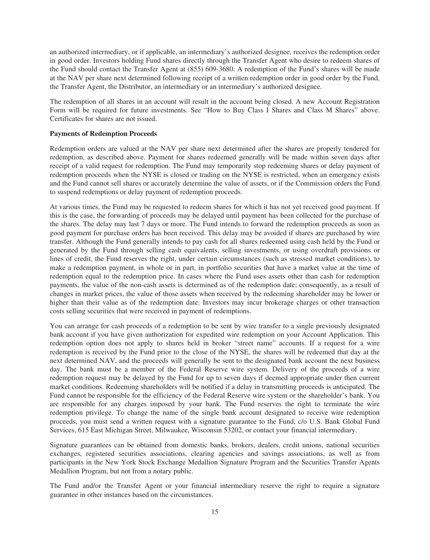an authorized intermediary, or if applicable, an intermediary's authorized designee, receives the redemption order in good order. Investors holding Fund shares directly through the Transfer Agent who desire to redeem shares of the Fund should contact the Transfer Agent at (855) 609-3680. A redemption of the Fund's shares will be made at the NAV per share next determined following receipt of a written redemption order in good order by the Fund, the Transfer Agent, the Distributor, an intermediary or an intermediary's authorized designee.

The redemption of all shares in an account will result in the account being closed. A new Account Registration Form will be required for future investments. See "How to Buy Class I Shares and Class M Shares" above. Certificates for shares are not issued.

#### <span id="page-26-0"></span>**Payments of Redemption Proceeds**

Redemption orders are valued at the NAV per share next determined after the shares are properly tendered for redemption, as described above. Payment for shares redeemed generally will be made within seven days after receipt of a valid request for redemption. The Fund may temporarily stop redeeming shares or delay payment of redemption proceeds when the NYSE is closed or trading on the NYSE is restricted, when an emergency exists and the Fund cannot sell shares or accurately determine the value of assets, or if the Commission orders the Fund to suspend redemptions or delay payment of redemption proceeds.

At various times, the Fund may be requested to redeem shares for which it has not yet received good payment. If this is the case, the forwarding of proceeds may be delayed until payment has been collected for the purchase of the shares. The delay may last 7 days or more. The Fund intends to forward the redemption proceeds as soon as good payment for purchase orders has been received. This delay may be avoided if shares are purchased by wire transfer. Although the Fund generally intends to pay cash for all shares redeemed using cash held by the Fund or generated by the Fund through selling cash equivalents, selling investments, or using overdraft provisions or lines of credit, the Fund reserves the right, under certain circumstances (such as stressed market conditions), to make a redemption payment, in whole or in part, in portfolio securities that have a market value at the time of redemption equal to the redemption price. In cases where the Fund uses assets other than cash for redemption payments, the value of the non-cash assets is determined as of the redemption date; consequently, as a result of changes in market prices, the value of those assets when received by the redeeming shareholder may be lower or higher than their value as of the redemption date. Investors may incur brokerage charges or other transaction costs selling securities that were received in payment of redemptions.

You can arrange for cash proceeds of a redemption to be sent by wire transfer to a single previously designated bank account if you have given authorization for expedited wire redemption on your Account Application. This redemption option does not apply to shares held in broker "street name" accounts. If a request for a wire redemption is received by the Fund prior to the close of the NYSE, the shares will be redeemed that day at the next determined NAV, and the proceeds will generally be sent to the designated bank account the next business day. The bank must be a member of the Federal Reserve wire system. Delivery of the proceeds of a wire redemption request may be delayed by the Fund for up to seven days if deemed appropriate under then current market conditions. Redeeming shareholders will be notified if a delay in transmitting proceeds is anticipated. The Fund cannot be responsible for the efficiency of the Federal Reserve wire system or the shareholder's bank. You are responsible for any charges imposed by your bank. The Fund reserves the right to terminate the wire redemption privilege. To change the name of the single bank account designated to receive wire redemption proceeds, you must send a written request with a signature guarantee to the Fund, c/o U.S. Bank Global Fund Services, 615 East Michigan Street, Milwaukee, Wisconsin 53202, or contact your financial intermediary.

Signature guarantees can be obtained from domestic banks, brokers, dealers, credit unions, national securities exchanges, registered securities associations, clearing agencies and savings associations, as well as from participants in the New York Stock Exchange Medallion Signature Program and the Securities Transfer Agents Medallion Program, but not from a notary public.

The Fund and/or the Transfer Agent or your financial intermediary reserve the right to require a signature guarantee in other instances based on the circumstances.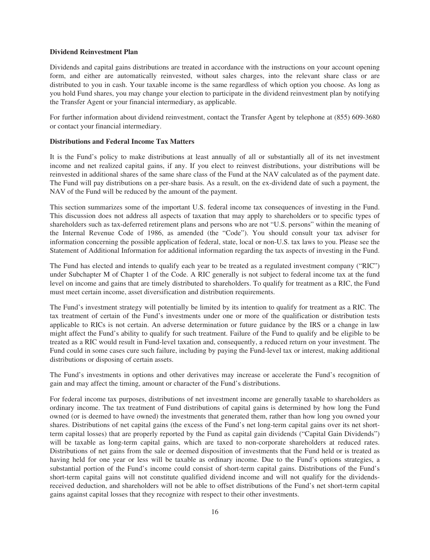#### <span id="page-27-0"></span>**Dividend Reinvestment Plan**

Dividends and capital gains distributions are treated in accordance with the instructions on your account opening form, and either are automatically reinvested, without sales charges, into the relevant share class or are distributed to you in cash. Your taxable income is the same regardless of which option you choose. As long as you hold Fund shares, you may change your election to participate in the dividend reinvestment plan by notifying the Transfer Agent or your financial intermediary, as applicable.

<span id="page-27-1"></span>For further information about dividend reinvestment, contact the Transfer Agent by telephone at (855) 609-3680 or contact your financial intermediary.

#### **Distributions and Federal Income Tax Matters**

It is the Fund's policy to make distributions at least annually of all or substantially all of its net investment income and net realized capital gains, if any. If you elect to reinvest distributions, your distributions will be reinvested in additional shares of the same share class of the Fund at the NAV calculated as of the payment date. The Fund will pay distributions on a per-share basis. As a result, on the ex-dividend date of such a payment, the NAV of the Fund will be reduced by the amount of the payment.

This section summarizes some of the important U.S. federal income tax consequences of investing in the Fund. This discussion does not address all aspects of taxation that may apply to shareholders or to specific types of shareholders such as tax-deferred retirement plans and persons who are not "U.S. persons" within the meaning of the Internal Revenue Code of 1986, as amended (the "Code"). You should consult your tax adviser for information concerning the possible application of federal, state, local or non-U.S. tax laws to you. Please see the Statement of Additional Information for additional information regarding the tax aspects of investing in the Fund.

The Fund has elected and intends to qualify each year to be treated as a regulated investment company ("RIC") under Subchapter M of Chapter 1 of the Code. A RIC generally is not subject to federal income tax at the fund level on income and gains that are timely distributed to shareholders. To qualify for treatment as a RIC, the Fund must meet certain income, asset diversification and distribution requirements.

The Fund's investment strategy will potentially be limited by its intention to qualify for treatment as a RIC. The tax treatment of certain of the Fund's investments under one or more of the qualification or distribution tests applicable to RICs is not certain. An adverse determination or future guidance by the IRS or a change in law might affect the Fund's ability to qualify for such treatment. Failure of the Fund to qualify and be eligible to be treated as a RIC would result in Fund-level taxation and, consequently, a reduced return on your investment. The Fund could in some cases cure such failure, including by paying the Fund-level tax or interest, making additional distributions or disposing of certain assets.

The Fund's investments in options and other derivatives may increase or accelerate the Fund's recognition of gain and may affect the timing, amount or character of the Fund's distributions.

For federal income tax purposes, distributions of net investment income are generally taxable to shareholders as ordinary income. The tax treatment of Fund distributions of capital gains is determined by how long the Fund owned (or is deemed to have owned) the investments that generated them, rather than how long you owned your shares. Distributions of net capital gains (the excess of the Fund's net long-term capital gains over its net shortterm capital losses) that are properly reported by the Fund as capital gain dividends ("Capital Gain Dividends") will be taxable as long-term capital gains, which are taxed to non-corporate shareholders at reduced rates. Distributions of net gains from the sale or deemed disposition of investments that the Fund held or is treated as having held for one year or less will be taxable as ordinary income. Due to the Fund's options strategies, a substantial portion of the Fund's income could consist of short-term capital gains. Distributions of the Fund's short-term capital gains will not constitute qualified dividend income and will not qualify for the dividendsreceived deduction, and shareholders will not be able to offset distributions of the Fund's net short-term capital gains against capital losses that they recognize with respect to their other investments.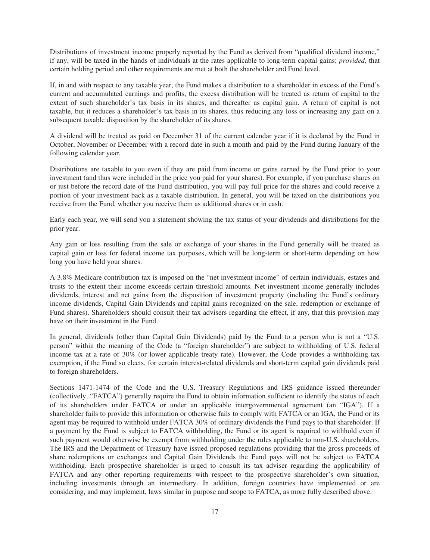Distributions of investment income properly reported by the Fund as derived from "qualified dividend income," if any, will be taxed in the hands of individuals at the rates applicable to long-term capital gains; *provided*, that certain holding period and other requirements are met at both the shareholder and Fund level.

If, in and with respect to any taxable year, the Fund makes a distribution to a shareholder in excess of the Fund's current and accumulated earnings and profits, the excess distribution will be treated as return of capital to the extent of such shareholder's tax basis in its shares, and thereafter as capital gain. A return of capital is not taxable, but it reduces a shareholder's tax basis in its shares, thus reducing any loss or increasing any gain on a subsequent taxable disposition by the shareholder of its shares.

A dividend will be treated as paid on December 31 of the current calendar year if it is declared by the Fund in October, November or December with a record date in such a month and paid by the Fund during January of the following calendar year.

Distributions are taxable to you even if they are paid from income or gains earned by the Fund prior to your investment (and thus were included in the price you paid for your shares). For example, if you purchase shares on or just before the record date of the Fund distribution, you will pay full price for the shares and could receive a portion of your investment back as a taxable distribution. In general, you will be taxed on the distributions you receive from the Fund, whether you receive them as additional shares or in cash.

Early each year, we will send you a statement showing the tax status of your dividends and distributions for the prior year.

Any gain or loss resulting from the sale or exchange of your shares in the Fund generally will be treated as capital gain or loss for federal income tax purposes, which will be long-term or short-term depending on how long you have held your shares.

A 3.8% Medicare contribution tax is imposed on the "net investment income" of certain individuals, estates and trusts to the extent their income exceeds certain threshold amounts. Net investment income generally includes dividends, interest and net gains from the disposition of investment property (including the Fund's ordinary income dividends, Capital Gain Dividends and capital gains recognized on the sale, redemption or exchange of Fund shares). Shareholders should consult their tax advisers regarding the effect, if any, that this provision may have on their investment in the Fund.

In general, dividends (other than Capital Gain Dividends) paid by the Fund to a person who is not a "U.S. person" within the meaning of the Code (a "foreign shareholder") are subject to withholding of U.S. federal income tax at a rate of 30% (or lower applicable treaty rate). However, the Code provides a withholding tax exemption, if the Fund so elects, for certain interest-related dividends and short-term capital gain dividends paid to foreign shareholders.

Sections 1471-1474 of the Code and the U.S. Treasury Regulations and IRS guidance issued thereunder (collectively, "FATCA") generally require the Fund to obtain information sufficient to identify the status of each of its shareholders under FATCA or under an applicable intergovernmental agreement (an "IGA"). If a shareholder fails to provide this information or otherwise fails to comply with FATCA or an IGA, the Fund or its agent may be required to withhold under FATCA 30% of ordinary dividends the Fund pays to that shareholder. If a payment by the Fund is subject to FATCA withholding, the Fund or its agent is required to withhold even if such payment would otherwise be exempt from withholding under the rules applicable to non-U.S. shareholders. The IRS and the Department of Treasury have issued proposed regulations providing that the gross proceeds of share redemptions or exchanges and Capital Gain Dividends the Fund pays will not be subject to FATCA withholding. Each prospective shareholder is urged to consult its tax adviser regarding the applicability of FATCA and any other reporting requirements with respect to the prospective shareholder's own situation, including investments through an intermediary. In addition, foreign countries have implemented or are considering, and may implement, laws similar in purpose and scope to FATCA, as more fully described above.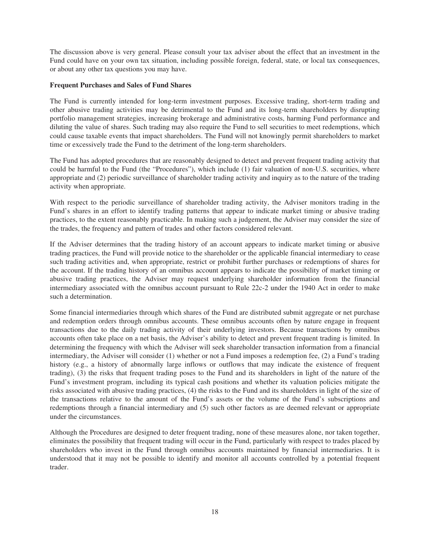The discussion above is very general. Please consult your tax adviser about the effect that an investment in the Fund could have on your own tax situation, including possible foreign, federal, state, or local tax consequences, or about any other tax questions you may have.

### <span id="page-29-0"></span>**Frequent Purchases and Sales of Fund Shares**

The Fund is currently intended for long-term investment purposes. Excessive trading, short-term trading and other abusive trading activities may be detrimental to the Fund and its long-term shareholders by disrupting portfolio management strategies, increasing brokerage and administrative costs, harming Fund performance and diluting the value of shares. Such trading may also require the Fund to sell securities to meet redemptions, which could cause taxable events that impact shareholders. The Fund will not knowingly permit shareholders to market time or excessively trade the Fund to the detriment of the long-term shareholders.

The Fund has adopted procedures that are reasonably designed to detect and prevent frequent trading activity that could be harmful to the Fund (the "Procedures"), which include (1) fair valuation of non-U.S. securities, where appropriate and (2) periodic surveillance of shareholder trading activity and inquiry as to the nature of the trading activity when appropriate.

With respect to the periodic surveillance of shareholder trading activity, the Adviser monitors trading in the Fund's shares in an effort to identify trading patterns that appear to indicate market timing or abusive trading practices, to the extent reasonably practicable. In making such a judgement, the Adviser may consider the size of the trades, the frequency and pattern of trades and other factors considered relevant.

If the Adviser determines that the trading history of an account appears to indicate market timing or abusive trading practices, the Fund will provide notice to the shareholder or the applicable financial intermediary to cease such trading activities and, when appropriate, restrict or prohibit further purchases or redemptions of shares for the account. If the trading history of an omnibus account appears to indicate the possibility of market timing or abusive trading practices, the Adviser may request underlying shareholder information from the financial intermediary associated with the omnibus account pursuant to Rule 22c-2 under the 1940 Act in order to make such a determination.

Some financial intermediaries through which shares of the Fund are distributed submit aggregate or net purchase and redemption orders through omnibus accounts. These omnibus accounts often by nature engage in frequent transactions due to the daily trading activity of their underlying investors. Because transactions by omnibus accounts often take place on a net basis, the Adviser's ability to detect and prevent frequent trading is limited. In determining the frequency with which the Adviser will seek shareholder transaction information from a financial intermediary, the Adviser will consider (1) whether or not a Fund imposes a redemption fee, (2) a Fund's trading history (e.g., a history of abnormally large inflows or outflows that may indicate the existence of frequent trading), (3) the risks that frequent trading poses to the Fund and its shareholders in light of the nature of the Fund's investment program, including its typical cash positions and whether its valuation policies mitigate the risks associated with abusive trading practices, (4) the risks to the Fund and its shareholders in light of the size of the transactions relative to the amount of the Fund's assets or the volume of the Fund's subscriptions and redemptions through a financial intermediary and (5) such other factors as are deemed relevant or appropriate under the circumstances.

Although the Procedures are designed to deter frequent trading, none of these measures alone, nor taken together, eliminates the possibility that frequent trading will occur in the Fund, particularly with respect to trades placed by shareholders who invest in the Fund through omnibus accounts maintained by financial intermediaries. It is understood that it may not be possible to identify and monitor all accounts controlled by a potential frequent trader.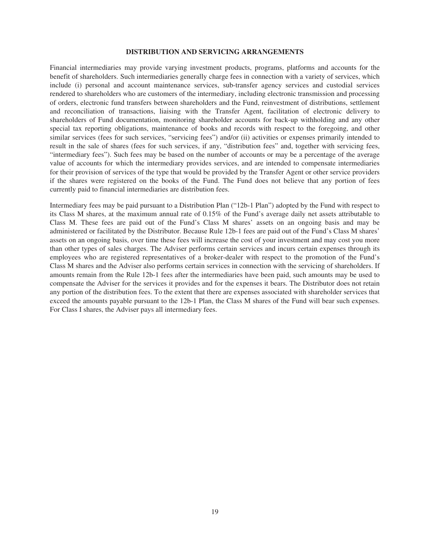#### **DISTRIBUTION AND SERVICING ARRANGEMENTS**

<span id="page-30-0"></span>Financial intermediaries may provide varying investment products, programs, platforms and accounts for the benefit of shareholders. Such intermediaries generally charge fees in connection with a variety of services, which include (i) personal and account maintenance services, sub-transfer agency services and custodial services rendered to shareholders who are customers of the intermediary, including electronic transmission and processing of orders, electronic fund transfers between shareholders and the Fund, reinvestment of distributions, settlement and reconciliation of transactions, liaising with the Transfer Agent, facilitation of electronic delivery to shareholders of Fund documentation, monitoring shareholder accounts for back-up withholding and any other special tax reporting obligations, maintenance of books and records with respect to the foregoing, and other similar services (fees for such services, "servicing fees") and/or (ii) activities or expenses primarily intended to result in the sale of shares (fees for such services, if any, "distribution fees" and, together with servicing fees, "intermediary fees"). Such fees may be based on the number of accounts or may be a percentage of the average value of accounts for which the intermediary provides services, and are intended to compensate intermediaries for their provision of services of the type that would be provided by the Transfer Agent or other service providers if the shares were registered on the books of the Fund. The Fund does not believe that any portion of fees currently paid to financial intermediaries are distribution fees.

Intermediary fees may be paid pursuant to a Distribution Plan ("12b-1 Plan") adopted by the Fund with respect to its Class M shares, at the maximum annual rate of 0.15% of the Fund's average daily net assets attributable to Class M. These fees are paid out of the Fund's Class M shares' assets on an ongoing basis and may be administered or facilitated by the Distributor. Because Rule 12b-1 fees are paid out of the Fund's Class M shares' assets on an ongoing basis, over time these fees will increase the cost of your investment and may cost you more than other types of sales charges. The Adviser performs certain services and incurs certain expenses through its employees who are registered representatives of a broker-dealer with respect to the promotion of the Fund's Class M shares and the Adviser also performs certain services in connection with the servicing of shareholders. If amounts remain from the Rule 12b-1 fees after the intermediaries have been paid, such amounts may be used to compensate the Adviser for the services it provides and for the expenses it bears. The Distributor does not retain any portion of the distribution fees. To the extent that there are expenses associated with shareholder services that exceed the amounts payable pursuant to the 12b-1 Plan, the Class M shares of the Fund will bear such expenses. For Class I shares, the Adviser pays all intermediary fees.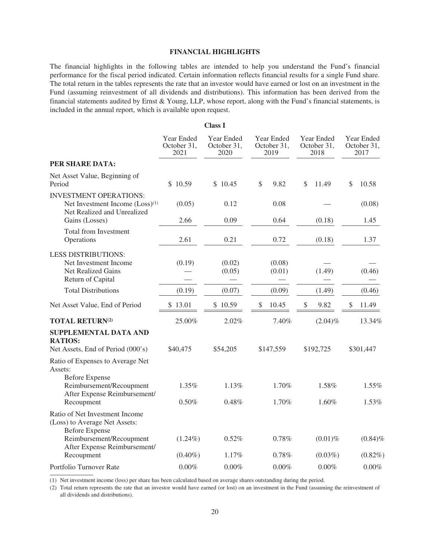# **FINANCIAL HIGHLIGHTS**

<span id="page-31-0"></span>The financial highlights in the following tables are intended to help you understand the Fund's financial performance for the fiscal period indicated. Certain information reflects financial results for a single Fund share. The total return in the tables represents the rate that an investor would have earned or lost on an investment in the Fund (assuming reinvestment of all dividends and distributions). This information has been derived from the financial statements audited by Ernst & Young, LLP, whose report, along with the Fund's financial statements, is included in the annual report, which is available upon request.

**Class I**

|                                                                                                             | Year Ended<br>October 31,<br>2021 | Year Ended<br>October 31,<br>2020 | Year Ended<br>October 31,<br>2019 | Year Ended<br>October 31,<br>2018 | Year Ended<br>October 31,<br>2017 |
|-------------------------------------------------------------------------------------------------------------|-----------------------------------|-----------------------------------|-----------------------------------|-----------------------------------|-----------------------------------|
| PER SHARE DATA:                                                                                             |                                   |                                   |                                   |                                   |                                   |
| Net Asset Value, Beginning of<br>Period                                                                     | \$10.59                           | \$10.45                           | \$<br>9.82                        | \$<br>11.49                       | \$<br>10.58                       |
| <b>INVESTMENT OPERATIONS:</b><br>Net Investment Income (Loss) <sup>(1)</sup><br>Net Realized and Unrealized | (0.05)<br>2.66                    | 0.12                              | 0.08                              |                                   | (0.08)                            |
| Gains (Losses)<br>Total from Investment<br>Operations                                                       | 2.61                              | 0.09<br>0.21                      | 0.64<br>0.72                      | (0.18)<br>(0.18)                  | 1.45<br>1.37                      |
| LESS DISTRIBUTIONS:<br>Net Investment Income<br><b>Net Realized Gains</b><br>Return of Capital              | (0.19)                            | (0.02)<br>(0.05)                  | (0.08)<br>(0.01)                  | (1.49)                            | (0.46)                            |
| <b>Total Distributions</b>                                                                                  | (0.19)                            | (0.07)                            | (0.09)                            | (1.49)                            | (0.46)                            |
| Net Asset Value, End of Period                                                                              | \$13.01                           | \$10.59                           | \$<br>10.45                       | \$<br>9.82                        | \$<br>11.49                       |
| <b>TOTAL RETURN(2)</b>                                                                                      | 25.00%                            | 2.02%                             | 7.40%                             | $(2.04)\%$                        | 13.34%                            |
| SUPPLEMENTAL DATA AND<br><b>RATIOS:</b><br>Net Assets, End of Period (000's)                                | \$40,475                          | \$54,205                          | \$147,559                         | \$192,725                         | \$301,447                         |
| Ratio of Expenses to Average Net<br>Assets:<br><b>Before Expense</b>                                        |                                   |                                   |                                   |                                   |                                   |
| Reimbursement/Recoupment<br>After Expense Reimbursement/                                                    | 1.35%                             | 1.13%                             | 1.70%                             | 1.58%                             | 1.55%                             |
| Recoupment<br>Ratio of Net Investment Income<br>(Loss) to Average Net Assets:<br><b>Before Expense</b>      | 0.50%                             | 0.48%                             | 1.70%                             | 1.60%                             | 1.53%                             |
| Reimbursement/Recoupment<br>After Expense Reimbursement/                                                    | $(1.24\%)$                        | 0.52%                             | 0.78%                             | $(0.01)\%$                        | $(0.84)\%$                        |
| Recoupment                                                                                                  | $(0.40\%)$                        | 1.17%                             | 0.78%                             | $(0.03\%)$                        | $(0.82\%)$                        |
| Portfolio Turnover Rate                                                                                     | 0.00%                             | 0.00%                             | 0.00%                             | 0.00%                             | 0.00%                             |

(1) Net investment income (loss) per share has been calculated based on average shares outstanding during the period.

(2) Total return represents the rate that an investor would have earned (or lost) on an investment in the Fund (assuming the reinvestment of all dividends and distributions).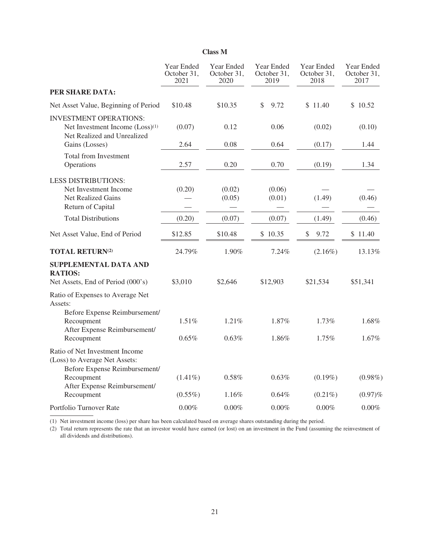|                                                                                                             | Year Ended<br>October 31,<br>2021 | Year Ended<br>October 31,<br>2020 | Year Ended<br>October 31,<br>2019 | Year Ended<br>October 31,<br>2018 | Year Ended<br>October 31,<br>2017 |
|-------------------------------------------------------------------------------------------------------------|-----------------------------------|-----------------------------------|-----------------------------------|-----------------------------------|-----------------------------------|
| PER SHARE DATA:                                                                                             |                                   |                                   |                                   |                                   |                                   |
| Net Asset Value, Beginning of Period                                                                        | \$10.48                           | \$10.35                           | \$<br>9.72                        | \$11.40                           | \$10.52                           |
| <b>INVESTMENT OPERATIONS:</b><br>Net Investment Income (Loss) <sup>(1)</sup><br>Net Realized and Unrealized | (0.07)                            | 0.12                              | 0.06                              | (0.02)                            | (0.10)                            |
| Gains (Losses)                                                                                              | 2.64                              | 0.08                              | 0.64                              | (0.17)                            | 1.44                              |
| Total from Investment<br>Operations                                                                         | 2.57                              | 0.20                              | 0.70                              | (0.19)                            | 1.34                              |
| <b>LESS DISTRIBUTIONS:</b><br>Net Investment Income<br>Net Realized Gains<br>Return of Capital              | (0.20)                            | (0.02)<br>(0.05)                  | (0.06)<br>(0.01)                  | (1.49)                            | (0.46)                            |
| <b>Total Distributions</b>                                                                                  | (0.20)                            | (0.07)                            | (0.07)                            | (1.49)                            | (0.46)                            |
| Net Asset Value, End of Period                                                                              | \$12.85                           | \$10.48                           | \$10.35                           | \$<br>9.72                        | \$11.40                           |
| <b>TOTAL RETURN(2)</b>                                                                                      | 24.79%                            | 1.90%                             | 7.24%                             | $(2.16\%)$                        | 13.13%                            |
| SUPPLEMENTAL DATA AND<br><b>RATIOS:</b><br>Net Assets, End of Period (000's)                                | \$3,010                           | \$2,646                           | \$12,903                          | \$21,534                          | \$51,341                          |
| Ratio of Expenses to Average Net<br>Assets:<br>Before Expense Reimbursement/                                |                                   |                                   |                                   |                                   |                                   |
| Recoupment<br>After Expense Reimbursement/                                                                  | 1.51%                             | 1.21%                             | 1.87%                             | 1.73%                             | 1.68%                             |
| Recoupment                                                                                                  | 0.65%                             | 0.63%                             | 1.86%                             | 1.75%                             | 1.67%                             |
| Ratio of Net Investment Income<br>(Loss) to Average Net Assets:<br>Before Expense Reimbursement/            |                                   |                                   |                                   |                                   |                                   |
| Recoupment<br>After Expense Reimbursement/                                                                  | $(1.41\%)$                        | 0.58%                             | 0.63%                             | $(0.19\%)$                        | $(0.98\%)$                        |
| Recoupment                                                                                                  | $(0.55\%)$                        | 1.16%                             | $0.64\%$                          | $(0.21\%)$                        | $(0.97)\%$                        |
| Portfolio Turnover Rate                                                                                     | 0.00%                             | 0.00%                             | 0.00%                             | 0.00%                             | 0.00%                             |

# **Class M**

(1) Net investment income (loss) per share has been calculated based on average shares outstanding during the period.

(2) Total return represents the rate that an investor would have earned (or lost) on an investment in the Fund (assuming the reinvestment of all dividends and distributions).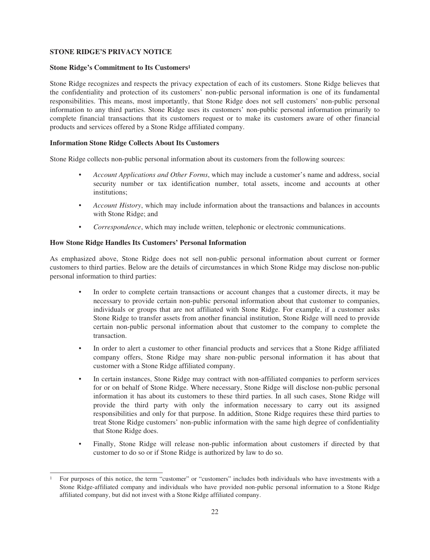# <span id="page-33-0"></span>**STONE RIDGE'S PRIVACY NOTICE**

# **Stone Ridge's Commitment to Its Customers1**

Stone Ridge recognizes and respects the privacy expectation of each of its customers. Stone Ridge believes that the confidentiality and protection of its customers' non-public personal information is one of its fundamental responsibilities. This means, most importantly, that Stone Ridge does not sell customers' non-public personal information to any third parties. Stone Ridge uses its customers' non-public personal information primarily to complete financial transactions that its customers request or to make its customers aware of other financial products and services offered by a Stone Ridge affiliated company.

# **Information Stone Ridge Collects About Its Customers**

Stone Ridge collects non-public personal information about its customers from the following sources:

- *Account Applications and Other Forms*, which may include a customer's name and address, social security number or tax identification number, total assets, income and accounts at other institutions;
- *Account History*, which may include information about the transactions and balances in accounts with Stone Ridge; and
- *Correspondence*, which may include written, telephonic or electronic communications.

# **How Stone Ridge Handles Its Customers' Personal Information**

As emphasized above, Stone Ridge does not sell non-public personal information about current or former customers to third parties. Below are the details of circumstances in which Stone Ridge may disclose non-public personal information to third parties:

- In order to complete certain transactions or account changes that a customer directs, it may be necessary to provide certain non-public personal information about that customer to companies, individuals or groups that are not affiliated with Stone Ridge. For example, if a customer asks Stone Ridge to transfer assets from another financial institution, Stone Ridge will need to provide certain non-public personal information about that customer to the company to complete the transaction.
- In order to alert a customer to other financial products and services that a Stone Ridge affiliated company offers, Stone Ridge may share non-public personal information it has about that customer with a Stone Ridge affiliated company.
- In certain instances, Stone Ridge may contract with non-affiliated companies to perform services for or on behalf of Stone Ridge. Where necessary, Stone Ridge will disclose non-public personal information it has about its customers to these third parties. In all such cases, Stone Ridge will provide the third party with only the information necessary to carry out its assigned responsibilities and only for that purpose. In addition, Stone Ridge requires these third parties to treat Stone Ridge customers' non-public information with the same high degree of confidentiality that Stone Ridge does.
- Finally, Stone Ridge will release non-public information about customers if directed by that customer to do so or if Stone Ridge is authorized by law to do so.

<sup>1</sup> For purposes of this notice, the term "customer" or "customers" includes both individuals who have investments with a Stone Ridge-affiliated company and individuals who have provided non-public personal information to a Stone Ridge affiliated company, but did not invest with a Stone Ridge affiliated company.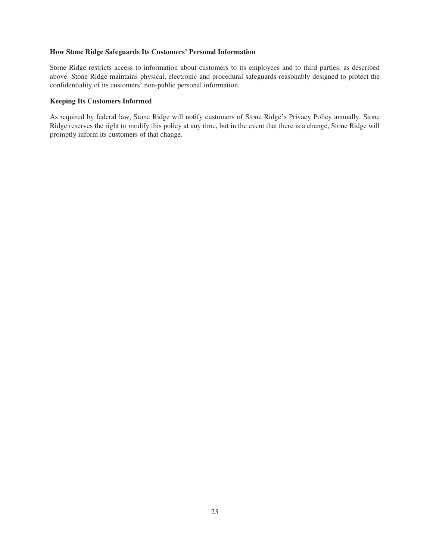# **How Stone Ridge Safeguards Its Customers' Personal Information**

Stone Ridge restricts access to information about customers to its employees and to third parties, as described above. Stone Ridge maintains physical, electronic and procedural safeguards reasonably designed to protect the confidentiality of its customers' non-public personal information.

# **Keeping Its Customers Informed**

As required by federal law, Stone Ridge will notify customers of Stone Ridge's Privacy Policy annually. Stone Ridge reserves the right to modify this policy at any time, but in the event that there is a change, Stone Ridge will promptly inform its customers of that change.